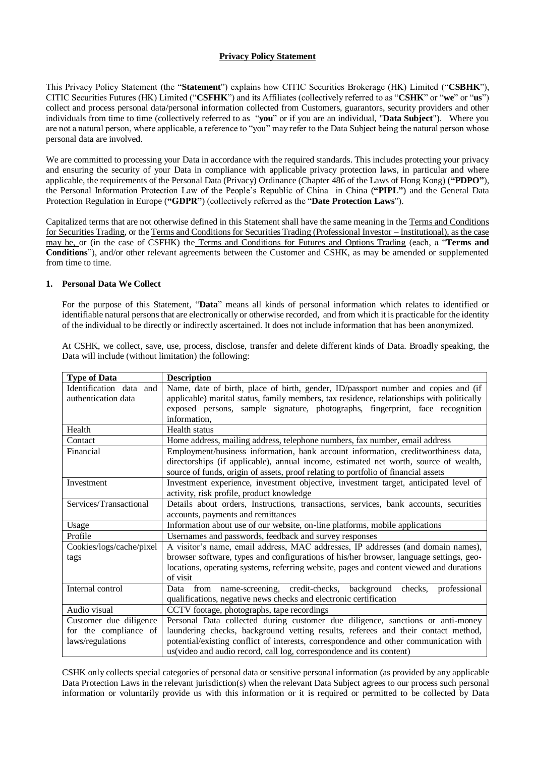# **Privacy Policy Statement**

This Privacy Policy Statement (the "**Statement**") explains how CITIC Securities Brokerage (HK) Limited ("**CSBHK**"), CITIC Securities Futures (HK) Limited ("**CSFHK**") and its Affiliates (collectively referred to as "**CSHK**" or "**we**" or "**us**") collect and process personal data/personal information collected from Customers, guarantors, security providers and other individuals from time to time (collectively referred to as "**you**" or if you are an individual, "**Data Subject**"). Where you are not a natural person, where applicable, a reference to "you" may refer to the Data Subject being the natural person whose personal data are involved.

We are committed to processing your Data in accordance with the required standards. This includes protecting your privacy and ensuring the security of your Data in compliance with applicable privacy protection laws, in particular and where applicable, the requirements of the Personal Data (Privacy) Ordinance (Chapter 486 of the Laws of Hong Kong) (**"PDPO"**), the [Personal Information Protection Law of the People's Republic of China](http://www.npc.gov.cn/npc/c30834/202108/a8c4e3672c74491a80b53a172bb753fe.shtml) in China (**"PIPL"**) and the General Data Protection Regulation in Europe (**"GDPR"**) (collectively referred as the "**Date Protection Laws**").

Capitalized terms that are not otherwise defined in this Statement shall have the same meaning in the Terms and Conditions for Securities Trading, or the Terms and Conditions for Securities Trading (Professional Investor – Institutional), as the case may be, or (in the case of CSFHK) the Terms and Conditions for Futures and Options Trading (each, a "**Terms and Conditions**"), and/or other relevant agreements between the Customer and CSHK, as may be amended or supplemented from time to time.

## **1. Personal Data We Collect**

For the purpose of this Statement, "**Data**" means all kinds of personal information which relates to identified or identifiable natural personsthat are electronically or otherwise recorded, and from which it is practicable for the identity of the individual to be directly or indirectly ascertained. It does not include information that has been anonymized.

| <b>Type of Data</b>      | <b>Description</b>                                                                        |
|--------------------------|-------------------------------------------------------------------------------------------|
| Identification data and  | Name, date of birth, place of birth, gender, ID/passport number and copies and (if        |
| authentication data      | applicable) marital status, family members, tax residence, relationships with politically |
|                          | exposed persons, sample signature, photographs, fingerprint, face recognition             |
|                          | information.                                                                              |
| Health                   | Health status                                                                             |
| Contact                  | Home address, mailing address, telephone numbers, fax number, email address               |
| Financial                | Employment/business information, bank account information, creditworthiness data,         |
|                          | directorships (if applicable), annual income, estimated net worth, source of wealth,      |
|                          | source of funds, origin of assets, proof relating to portfolio of financial assets        |
| Investment               | Investment experience, investment objective, investment target, anticipated level of      |
|                          | activity, risk profile, product knowledge                                                 |
| Services/Transactional   | Details about orders, Instructions, transactions, services, bank accounts, securities     |
|                          | accounts, payments and remittances                                                        |
| Usage                    | Information about use of our website, on-line platforms, mobile applications              |
| Profile                  | Usernames and passwords, feedback and survey responses                                    |
| Cookies/logs/cache/pixel | A visitor's name, email address, MAC addresses, IP addresses (and domain names),          |
| tags                     | browser software, types and configurations of his/her browser, language settings, geo-    |
|                          | locations, operating systems, referring website, pages and content viewed and durations   |
|                          | of visit                                                                                  |
| Internal control         | Data from name-screening, credit-checks, background<br>checks,<br>professional            |
|                          | qualifications, negative news checks and electronic certification                         |
| Audio visual             | CCTV footage, photographs, tape recordings                                                |
| Customer due diligence   | Personal Data collected during customer due diligence, sanctions or anti-money            |
| for the compliance of    | laundering checks, background vetting results, referees and their contact method,         |
| laws/regulations         | potential/existing conflict of interests, correspondence and other communication with     |
|                          | us (video and audio record, call log, correspondence and its content)                     |

At CSHK, we collect, save, use, process, disclose, transfer and delete different kinds of Data. Broadly speaking, the Data will include (without limitation) the following:

CSHK only collects special categories of personal data or sensitive personal information (as provided by any applicable Data Protection Laws in the relevant jurisdiction(s) when the relevant Data Subject agrees to our process such personal information or voluntarily provide us with this information or it is required or permitted to be collected by Data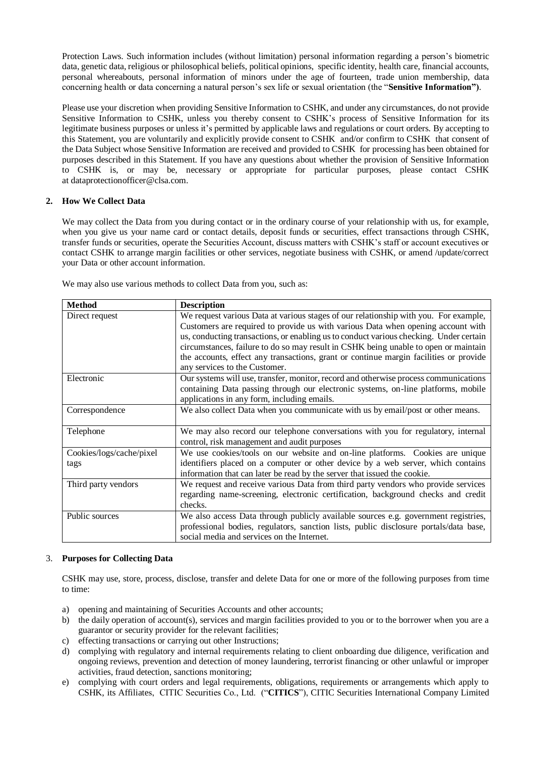Protection Laws. Such information includes (without limitation) personal information regarding a person's biometric data, genetic data, religious or philosophical beliefs, political opinions, specific identity, health care, financial accounts, personal whereabouts, personal information of minors under the age of fourteen, trade union membership, data concerning health or data concerning a natural person's sex life or sexual orientation (the "**Sensitive Information")**.

Please use your discretion when providing Sensitive Information to CSHK, and under any circumstances, do not provide Sensitive Information to CSHK, unless you thereby consent to CSHK's process of Sensitive Information for its legitimate business purposes or unless it's permitted by applicable laws and regulations or court orders. By accepting to this Statement, you are voluntarily and explicitly provide consent to CSHK and/or confirm to CSHK that consent of the Data Subject whose Sensitive Information are received and provided to CSHK for processing has been obtained for purposes described in this Statement. If you have any questions about whether the provision of Sensitive Information to CSHK is, or may be, necessary or appropriate for particular purposes, please contact CSHK at dataprotectionofficer@clsa.com.

# **2. How We Collect Data**

We may collect the Data from you during contact or in the ordinary course of your relationship with us, for example, when you give us your name card or contact details, deposit funds or securities, effect transactions through CSHK, transfer funds or securities, operate the Securities Account, discuss matters with CSHK's staff or account executives or contact CSHK to arrange margin facilities or other services, negotiate business with CSHK, or amend /update/correct your Data or other account information.

We may also use various methods to collect Data from you, such as:

| <b>Method</b>            | <b>Description</b>                                                                     |
|--------------------------|----------------------------------------------------------------------------------------|
| Direct request           | We request various Data at various stages of our relationship with you. For example,   |
|                          | Customers are required to provide us with various Data when opening account with       |
|                          | us, conducting transactions, or enabling us to conduct various checking. Under certain |
|                          | circumstances, failure to do so may result in CSHK being unable to open or maintain    |
|                          | the accounts, effect any transactions, grant or continue margin facilities or provide  |
|                          | any services to the Customer.                                                          |
| Electronic               | Our systems will use, transfer, monitor, record and otherwise process communications   |
|                          | containing Data passing through our electronic systems, on-line platforms, mobile      |
|                          | applications in any form, including emails.                                            |
| Correspondence           | We also collect Data when you communicate with us by email/post or other means.        |
|                          |                                                                                        |
| Telephone                | We may also record our telephone conversations with you for regulatory, internal       |
|                          | control, risk management and audit purposes                                            |
| Cookies/logs/cache/pixel | We use cookies/tools on our website and on-line platforms. Cookies are unique          |
| tags                     | identifiers placed on a computer or other device by a web server, which contains       |
|                          | information that can later be read by the server that issued the cookie.               |
| Third party vendors      | We request and receive various Data from third party vendors who provide services      |
|                          | regarding name-screening, electronic certification, background checks and credit       |
|                          | checks.                                                                                |
| Public sources           | We also access Data through publicly available sources e.g. government registries,     |
|                          | professional bodies, regulators, sanction lists, public disclosure portals/data base,  |
|                          | social media and services on the Internet.                                             |

## 3. **Purposes for Collecting Data**

CSHK may use, store, process, disclose, transfer and delete Data for one or more of the following purposes from time to time:

- a) opening and maintaining of Securities Accounts and other accounts;
- b) the daily operation of account(s), services and margin facilities provided to you or to the borrower when you are a guarantor or security provider for the relevant facilities;
- c) effecting transactions or carrying out other Instructions;
- d) complying with regulatory and internal requirements relating to client onboarding due diligence, verification and ongoing reviews, prevention and detection of money laundering, terrorist financing or other unlawful or improper activities, fraud detection, sanctions monitoring;
- e) complying with court orders and legal requirements, obligations, requirements or arrangements which apply to CSHK, its Affiliates, CITIC Securities Co., Ltd. ("**CITICS**"), CITIC Securities International Company Limited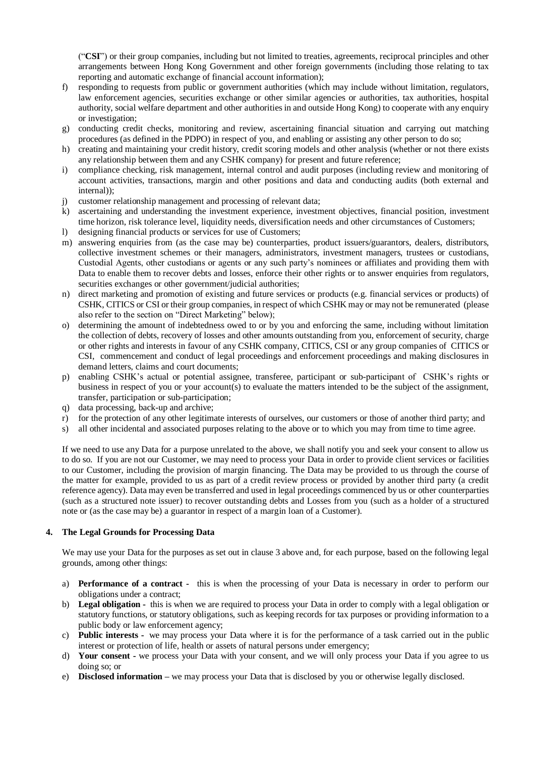("**CSI**") or their group companies, including but not limited to treaties, agreements, reciprocal principles and other arrangements between Hong Kong Government and other foreign governments (including those relating to tax reporting and automatic exchange of financial account information);

- f) responding to requests from public or government authorities (which may include without limitation, regulators, law enforcement agencies, securities exchange or other similar agencies or authorities, tax authorities, hospital authority, social welfare department and other authorities in and outside Hong Kong) to cooperate with any enquiry or investigation;
- g) conducting credit checks, monitoring and review, ascertaining financial situation and carrying out matching procedures (as defined in the PDPO) in respect of you, and enabling or assisting any other person to do so;
- h) creating and maintaining your credit history, credit scoring models and other analysis (whether or not there exists any relationship between them and any CSHK company) for present and future reference;
- i) compliance checking, risk management, internal control and audit purposes (including review and monitoring of account activities, transactions, margin and other positions and data and conducting audits (both external and internal));
- j) customer relationship management and processing of relevant data;
- k) ascertaining and understanding the investment experience, investment objectives, financial position, investment time horizon, risk tolerance level, liquidity needs, diversification needs and other circumstances of Customers;
- l) designing financial products or services for use of Customers;
- m) answering enquiries from (as the case may be) counterparties, product issuers/guarantors, dealers, distributors, collective investment schemes or their managers, administrators, investment managers, trustees or custodians, Custodial Agents, other custodians or agents or any such party's nominees or affiliates and providing them with Data to enable them to recover debts and losses, enforce their other rights or to answer enquiries from regulators, securities exchanges or other government/judicial authorities;
- n) direct marketing and promotion of existing and future services or products (e.g. financial services or products) of CSHK, CITICS or CSI or their group companies, in respect of which CSHK may or may not be remunerated (please also refer to the section on "Direct Marketing" below);
- o) determining the amount of indebtedness owed to or by you and enforcing the same, including without limitation the collection of debts, recovery of losses and other amounts outstanding from you, enforcement of security, charge or other rights and interests in favour of any CSHK company, CITICS, CSI or any group companies of CITICS or CSI, commencement and conduct of legal proceedings and enforcement proceedings and making disclosures in demand letters, claims and court documents;
- p) enabling CSHK's actual or potential assignee, transferee, participant or sub-participant of CSHK's rights or business in respect of you or your account(s) to evaluate the matters intended to be the subject of the assignment, transfer, participation or sub-participation;
- q) data processing, back-up and archive;
- r) for the protection of any other legitimate interests of ourselves, our customers or those of another third party; and
- s) all other incidental and associated purposes relating to the above or to which you may from time to time agree.

If we need to use any Data for a purpose unrelated to the above, we shall notify you and seek your consent to allow us to do so. If you are not our Customer, we may need to process your Data in order to provide client services or facilities to our Customer, including the provision of margin financing. The Data may be provided to us through the course of the matter for example, provided to us as part of a credit review process or provided by another third party (a credit reference agency). Data may even be transferred and used in legal proceedings commenced by us or other counterparties (such as a structured note issuer) to recover outstanding debts and Losses from you (such as a holder of a structured note or (as the case may be) a guarantor in respect of a margin loan of a Customer).

# **4. The Legal Grounds for Processing Data**

We may use your Data for the purposes as set out in clause 3 above and, for each purpose, based on the following legal grounds, among other things:

- a) **Performance of a contract -** this is when the processing of your Data is necessary in order to perform our obligations under a contract;
- b) **Legal obligation -** this is when we are required to process your Data in order to comply with a legal obligation or statutory functions, or statutory obligations, such as keeping records for tax purposes or providing information to a public body or law enforcement agency;
- c) **Public interests -** we may process your Data where it is for the performance of a task carried out in the public interest or protection of life, health or assets of natural persons under emergency;
- d) **Your consent -** we process your Data with your consent, and we will only process your Data if you agree to us doing so; or
- e) **Disclosed information –** we may process your Data that is disclosed by you or otherwise legally disclosed.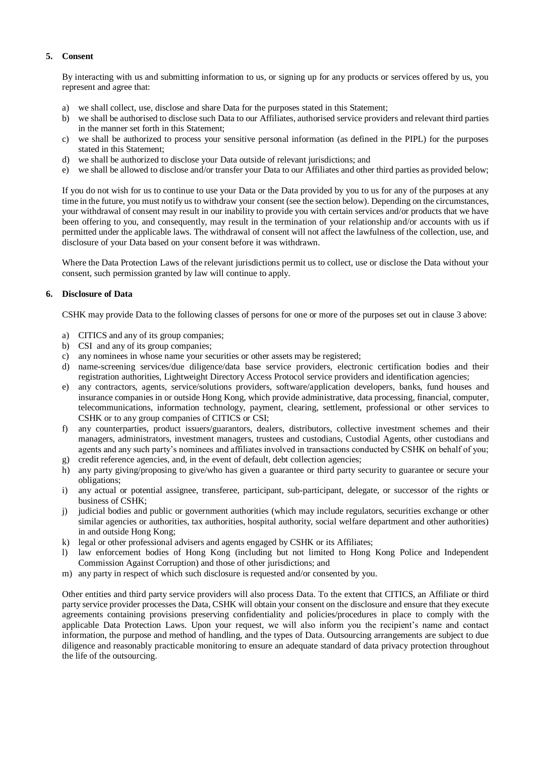# **5. Consent**

By interacting with us and submitting information to us, or signing up for any products or services offered by us, you represent and agree that:

- a) we shall collect, use, disclose and share Data for the purposes stated in this Statement;
- b) we shall be authorised to disclose such Data to our Affiliates, authorised service providers and relevant third parties in the manner set forth in this Statement;
- c) we shall be authorized to process your sensitive personal information (as defined in the PIPL) for the purposes stated in this Statement;
- d) we shall be authorized to disclose your Data outside of relevant jurisdictions; and
- e) we shall be allowed to disclose and/or transfer your Data to our Affiliates and other third parties as provided below;

If you do not wish for us to continue to use your Data or the Data provided by you to us for any of the purposes at any time in the future, you must notify us to withdraw your consent (see the section below). Depending on the circumstances, your withdrawal of consent may result in our inability to provide you with certain services and/or products that we have been offering to you, and consequently, may result in the termination of your relationship and/or accounts with us if permitted under the applicable laws. The withdrawal of consent will not affect the lawfulness of the collection, use, and disclosure of your Data based on your consent before it was withdrawn.

Where the Data Protection Laws of the relevant jurisdictions permit us to collect, use or disclose the Data without your consent, such permission granted by law will continue to apply.

## **6. Disclosure of Data**

CSHK may provide Data to the following classes of persons for one or more of the purposes set out in clause 3 above:

- a) CITICS and any of its group companies;
- b) CSI and any of its group companies;
- c) any nominees in whose name your securities or other assets may be registered;
- d) name-screening services/due diligence/data base service providers, electronic certification bodies and their registration authorities, Lightweight Directory Access Protocol service providers and identification agencies;
- e) any contractors, agents, service/solutions providers, software/application developers, banks, fund houses and insurance companies in or outside Hong Kong, which provide administrative, data processing, financial, computer, telecommunications, information technology, payment, clearing, settlement, professional or other services to CSHK or to any group companies of CITICS or CSI;
- f) any counterparties, product issuers/guarantors, dealers, distributors, collective investment schemes and their managers, administrators, investment managers, trustees and custodians, Custodial Agents, other custodians and agents and any such party's nominees and affiliates involved in transactions conducted by CSHK on behalf of you;
- g) credit reference agencies, and, in the event of default, debt collection agencies;
- h) any party giving/proposing to give/who has given a guarantee or third party security to guarantee or secure your obligations;
- i) any actual or potential assignee, transferee, participant, sub-participant, delegate, or successor of the rights or business of CSHK;
- j) judicial bodies and public or government authorities (which may include regulators, securities exchange or other similar agencies or authorities, tax authorities, hospital authority, social welfare department and other authorities) in and outside Hong Kong;
- k) legal or other professional advisers and agents engaged by CSHK or its Affiliates;
- law enforcement bodies of Hong Kong (including but not limited to Hong Kong Police and Independent Commission Against Corruption) and those of other jurisdictions; and
- m) any party in respect of which such disclosure is requested and/or consented by you.

Other entities and third party service providers will also process Data. To the extent that CITICS, an Affiliate or third party service provider processes the Data, CSHK will obtain your consent on the disclosure and ensure that they execute agreements containing provisions preserving confidentiality and policies/procedures in place to comply with the applicable Data Protection Laws. Upon your request, we will also inform you the recipient's name and contact information, the purpose and method of handling, and the types of Data. Outsourcing arrangements are subject to due diligence and reasonably practicable monitoring to ensure an adequate standard of data privacy protection throughout the life of the outsourcing.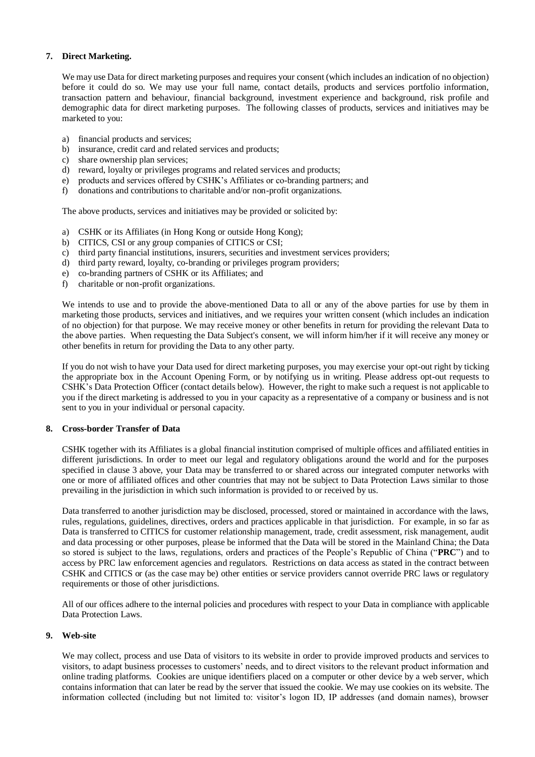## **7. Direct Marketing.**

We may use Data for direct marketing purposes and requires your consent (which includes an indication of no objection) before it could do so. We may use your full name, contact details, products and services portfolio information, transaction pattern and behaviour, financial background, investment experience and background, risk profile and demographic data for direct marketing purposes. The following classes of products, services and initiatives may be marketed to you:

- a) financial products and services;
- b) insurance, credit card and related services and products;
- c) share ownership plan services;
- d) reward, loyalty or privileges programs and related services and products;
- e) products and services offered by CSHK's Affiliates or co-branding partners; and
- f) donations and contributions to charitable and/or non-profit organizations.

The above products, services and initiatives may be provided or solicited by:

- a) CSHK or its Affiliates (in Hong Kong or outside Hong Kong);
- b) CITICS, CSI or any group companies of CITICS or CSI;
- c) third party financial institutions, insurers, securities and investment services providers;
- d) third party reward, loyalty, co-branding or privileges program providers;
- e) co-branding partners of CSHK or its Affiliates; and
- f) charitable or non-profit organizations.

We intends to use and to provide the above-mentioned Data to all or any of the above parties for use by them in marketing those products, services and initiatives, and we requires your written consent (which includes an indication of no objection) for that purpose. We may receive money or other benefits in return for providing the relevant Data to the above parties. When requesting the Data Subject's consent, we will inform him/her if it will receive any money or other benefits in return for providing the Data to any other party.

If you do not wish to have your Data used for direct marketing purposes, you may exercise your opt-out right by ticking the appropriate box in the Account Opening Form, or by notifying us in writing. Please address opt-out requests to CSHK's Data Protection Officer (contact details below). However, the right to make such a request is not applicable to you if the direct marketing is addressed to you in your capacity as a representative of a company or business and is not sent to you in your individual or personal capacity.

## **8. Cross-border Transfer of Data**

CSHK together with its Affiliates is a global financial institution comprised of multiple offices and affiliated entities in different jurisdictions. In order to meet our legal and regulatory obligations around the world and for the purposes specified in clause 3 above, your Data may be transferred to or shared across our integrated computer networks with one or more of affiliated offices and other countries that may not be subject to Data Protection Laws similar to those prevailing in the jurisdiction in which such information is provided to or received by us.

Data transferred to another jurisdiction may be disclosed, processed, stored or maintained in accordance with the laws, rules, regulations, guidelines, directives, orders and practices applicable in that jurisdiction. For example, in so far as Data is transferred to CITICS for customer relationship management, trade, credit assessment, risk management, audit and data processing or other purposes, please be informed that the Data will be stored in the Mainland China; the Data so stored is subject to the laws, regulations, orders and practices of the People's Republic of China ("**PRC**") and to access by PRC law enforcement agencies and regulators. Restrictions on data access as stated in the contract between CSHK and CITICS or (as the case may be) other entities or service providers cannot override PRC laws or regulatory requirements or those of other jurisdictions.

All of our offices adhere to the internal policies and procedures with respect to your Data in compliance with applicable Data Protection Laws.

## **9. Web-site**

We may collect, process and use Data of visitors to its website in order to provide improved products and services to visitors, to adapt business processes to customers' needs, and to direct visitors to the relevant product information and online trading platforms. Cookies are unique identifiers placed on a computer or other device by a web server, which contains information that can later be read by the server that issued the cookie. We may use cookies on its website. The information collected (including but not limited to: visitor's logon ID, IP addresses (and domain names), browser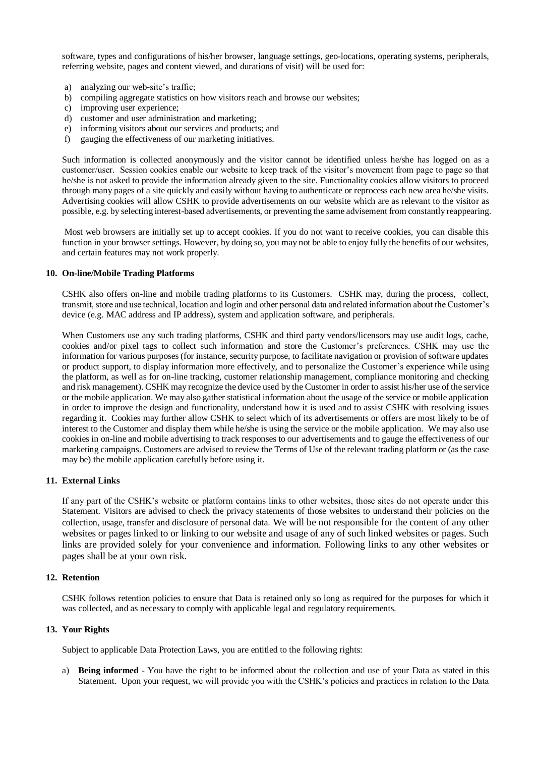software, types and configurations of his/her browser, language settings, geo-locations, operating systems, peripherals, referring website, pages and content viewed, and durations of visit) will be used for:

- a) analyzing our web-site's traffic;
- b) compiling aggregate statistics on how visitors reach and browse our websites;
- c) improving user experience;
- d) customer and user administration and marketing;
- e) informing visitors about our services and products; and
- f) gauging the effectiveness of our marketing initiatives.

Such information is collected anonymously and the visitor cannot be identified unless he/she has logged on as a customer/user. Session cookies enable our website to keep track of the visitor's movement from page to page so that he/she is not asked to provide the information already given to the site. Functionality cookies allow visitors to proceed through many pages of a site quickly and easily without having to authenticate or reprocess each new area he/she visits. Advertising cookies will allow CSHK to provide advertisements on our website which are as relevant to the visitor as possible, e.g. by selecting interest-based advertisements, or preventing the same advisement from constantly reappearing.

Most web browsers are initially set up to accept cookies. If you do not want to receive cookies, you can disable this function in your browser settings. However, by doing so, you may not be able to enjoy fully the benefits of our websites, and certain features may not work properly.

### **10. On-line/Mobile Trading Platforms**

CSHK also offers on-line and mobile trading platforms to its Customers. CSHK may, during the process, collect, transmit, store and use technical, location and login and other personal data and related information about the Customer's device (e.g. MAC address and IP address), system and application software, and peripherals.

When Customers use any such trading platforms, CSHK and third party vendors/licensors may use audit logs, cache, cookies and/or pixel tags to collect such information and store the Customer's preferences. CSHK may use the information for various purposes (for instance, security purpose, to facilitate navigation or provision of software updates or product support, to display information more effectively, and to personalize the Customer's experience while using the platform, as well as for on-line tracking, customer relationship management, compliance monitoring and checking and risk management). CSHK may recognize the device used by the Customer in order to assist his/her use of the service or the mobile application. We may also gather statistical information about the usage of the service or mobile application in order to improve the design and functionality, understand how it is used and to assist CSHK with resolving issues regarding it. Cookies may further allow CSHK to select which of its advertisements or offers are most likely to be of interest to the Customer and display them while he/she is using the service or the mobile application. We may also use cookies in on-line and mobile advertising to track responses to our advertisements and to gauge the effectiveness of our marketing campaigns. Customers are advised to review the Terms of Use of the relevant trading platform or (as the case may be) the mobile application carefully before using it.

## **11. External Links**

If any part of the CSHK's website or platform contains links to other websites, those sites do not operate under this Statement. Visitors are advised to check the privacy statements of those websites to understand their policies on the collection, usage, transfer and disclosure of personal data. We will be not responsible for the content of any other websites or pages linked to or linking to our website and usage of any of such linked websites or pages. Such links are provided solely for your convenience and information. Following links to any other websites or pages shall be at your own risk.

#### **12. Retention**

CSHK follows retention policies to ensure that Data is retained only so long as required for the purposes for which it was collected, and as necessary to comply with applicable legal and regulatory requirements.

#### **13. Your Rights**

Subject to applicable Data Protection Laws, you are entitled to the following rights:

a) **Being informed -** You have the right to be informed about the collection and use of your Data as stated in this Statement. Upon your request, we will provide you with the CSHK's policies and practices in relation to the Data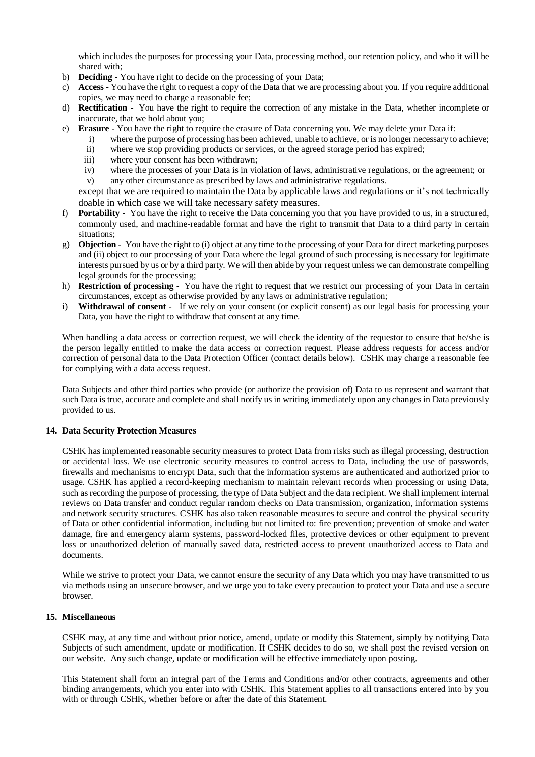which includes the purposes for processing your Data, processing method, our retention policy, and who it will be shared with:

- b) **Deciding -** You have right to decide on the processing of your Data;
- c) **Access -** You have the right to request a copy of the Data that we are processing about you. If you require additional copies, we may need to charge a reasonable fee;
- d) **Rectification -** You have the right to require the correction of any mistake in the Data, whether incomplete or inaccurate, that we hold about you;
- e) **Erasure -** You have the right to require the erasure of Data concerning you. We may delete your Data if:
	- i) where the purpose of processing has been achieved, unable to achieve, or is no longer necessary to achieve;
	- ii) where we stop providing products or services, or the agreed storage period has expired;
	- iii) where your consent has been withdrawn;
	- iv) where the processes of your Data is in violation of laws, administrative regulations, or the agreement; or
	- v) any other circumstance as prescribed by laws and administrative regulations.

except that we are required to maintain the Data by applicable laws and regulations or it's not technically doable in which case we will take necessary safety measures.

- f) **Portability -** You have the right to receive the Data concerning you that you have provided to us, in a structured, commonly used, and machine-readable format and have the right to transmit that Data to a third party in certain situations;
- g) **Objection -** You have the right to (i) object at any time to the processing of your Data for direct marketing purposes and (ii) object to our processing of your Data where the legal ground of such processing is necessary for legitimate interests pursued by us or by a third party. We will then abide by your request unless we can demonstrate compelling legal grounds for the processing;
- h) **Restriction of processing -** You have the right to request that we restrict our processing of your Data in certain circumstances, except as otherwise provided by any laws or administrative regulation;
- i) **Withdrawal of consent -** If we rely on your consent (or explicit consent) as our legal basis for processing your Data, you have the right to withdraw that consent at any time.

When handling a data access or correction request, we will check the identity of the requestor to ensure that he/she is the person legally entitled to make the data access or correction request. Please address requests for access and/or correction of personal data to the Data Protection Officer (contact details below). CSHK may charge a reasonable fee for complying with a data access request.

Data Subjects and other third parties who provide (or authorize the provision of) Data to us represent and warrant that such Data is true, accurate and complete and shall notify us in writing immediately upon any changes in Data previously provided to us.

## **14. Data Security Protection Measures**

CSHK has implemented reasonable security measures to protect Data from risks such as illegal processing, destruction or accidental loss. We use electronic security measures to control access to Data, including the use of passwords, firewalls and mechanisms to encrypt Data, such that the information systems are authenticated and authorized prior to usage. CSHK has applied a record-keeping mechanism to maintain relevant records when processing or using Data, such as recording the purpose of processing, the type of Data Subject and the data recipient. We shall implement internal reviews on Data transfer and conduct regular random checks on Data transmission, organization, information systems and network security structures. CSHK has also taken reasonable measures to secure and control the physical security of Data or other confidential information, including but not limited to: fire prevention; prevention of smoke and water damage, fire and emergency alarm systems, password-locked files, protective devices or other equipment to prevent loss or unauthorized deletion of manually saved data, restricted access to prevent unauthorized access to Data and documents.

While we strive to protect your Data, we cannot ensure the security of any Data which you may have transmitted to us via methods using an unsecure browser, and we urge you to take every precaution to protect your Data and use a secure browser.

## **15. Miscellaneous**

CSHK may, at any time and without prior notice, amend, update or modify this Statement, simply by notifying Data Subjects of such amendment, update or modification. If CSHK decides to do so, we shall post the revised version on our website. Any such change, update or modification will be effective immediately upon posting.

This Statement shall form an integral part of the Terms and Conditions and/or other contracts, agreements and other binding arrangements, which you enter into with CSHK. This Statement applies to all transactions entered into by you with or through CSHK, whether before or after the date of this Statement.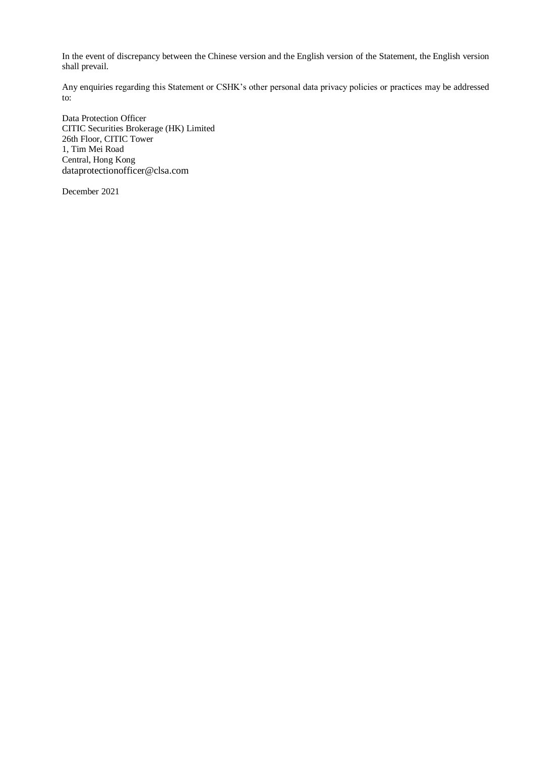In the event of discrepancy between the Chinese version and the English version of the Statement, the English version shall prevail.

Any enquiries regarding this Statement or CSHK's other personal data privacy policies or practices may be addressed to:

Data Protection Officer CITIC Securities Brokerage (HK) Limited 26th Floor, CITIC Tower 1, Tim Mei Road Central, Hong Kong dataprotectionofficer@clsa.com

December 2021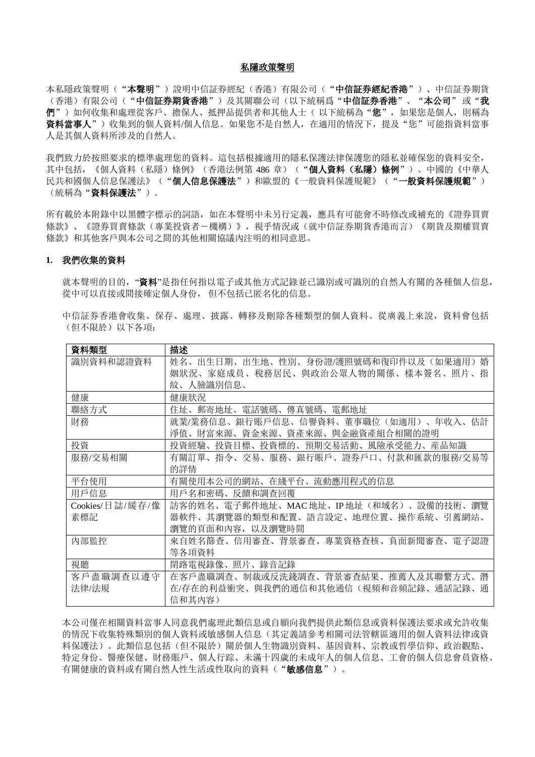#### 私隱政策聲明

本私隱政策聲明("本聲明")說明中信証券經紀(香港)有限公司("中信証券經紀香港")、中信証券期貨 (香港)有限公司("中信証券期貨香港")及其關聯公司(以下統稱爲"中信証券香港"、"本公司"或"我 們")如何收集和處理從客戶、擔保人、抵押品提供者和其他人士(以下統稱為"您",如果您是個人,則稱為 資料當事人")收集到的個人資料/個人信息。如果您不是自然人, 在適用的情況下, 提及"您"可能指資料當事 人是其個人資料所涉及的自然人。

我們致力於按照要求的標準處理您的資料。這包括根據適用的隱私保護法律保護您的隱私並確保您的資料安全, 其中包括,《個人資料(私隱)條例》(香港法例第 486 章)("**個人資料(私隱)條例**")、中國的《中華人 民共和國個人信息保護法》("個人信息保護法")和歐盟的《一般資料保護規範》("一般資料保護規範") (統稱為"資料保護法")。

所有載於本附錄中以黑體字標示的詞語,如在本聲明中未另行定義,應具有可能會不時修改或補充的《證券買賣 條款》、《證券買賣條款(專業投資者-機構)》,視乎情況或(就中信証券期貨香港而言)《期貨及期權買賣 條款》和其他客戶與本公司之間的其他相關協議內注明的相同意思。

#### **1.** 我們收集的資料

就本聲明的目的,"**資料**"是指任何指以電子或其他方式記錄並已識別或可識別的自然人有關的各種個人信息, 從中可以直接或間接確定個人身份, 但不包括已匿名化的信息。

|             |  | 中信証券香港會收集、保存、處理、披露、轉移及刪除各種類型的個人資料。從廣義上來說,資料會包括 |  |  |
|-------------|--|------------------------------------------------|--|--|
| (但不限於)以下各項: |  |                                                |  |  |

| 資料類型            | 描述                                            |
|-----------------|-----------------------------------------------|
| 識別資料和認證資料       | 姓名、出生日期、出生地、性別、身份證/護照號碼和復印件以及(如果適用)<br>婚      |
|                 | 姻狀況、家庭成員、稅務居民、與政治公眾人物的關係、樣本簽名、照片、<br>指        |
|                 | 紋、人臉識別信息、                                     |
| 健康              | 健康狀況                                          |
| 聯絡方式            | 郵寄地址、電話號碼、<br>傳真號碼、電郵地址<br>住址、                |
| 財務              | 就業/業務信息、銀行賬戶信息、信譽資料、董事職位(如適用)、年收入、估計          |
|                 | 財富來源、資金來源、資產來源、與金融資產組合相關的證明<br>淨值、            |
| 投資              | 投資標的、<br>預期交易活動、風險承受能力、産品知識<br>投資目標、<br>投資經驗、 |
| 服務/交易相關         | 有關訂單、指令、交易、服務、銀行賬戶、證券戶口、付款和匯款的服務/交易等          |
|                 | 的詳情                                           |
|                 |                                               |
| 平台使用            | 有關使用本公司的網站、在綫平台、流動應用程式的信息                     |
| 用戶信息            | 用戶名和密碼、反饋和調査回覆                                |
| Cookies/日誌/緩存/像 | 訪客的姓名、電子郵件地址、MAC地址、IP地址(和域名)、設備的技術、瀏覽         |
| 素標記             | 器軟件、其瀏覽器的類型和配置、語言設定、地理位置、操作系統、引薦網站、           |
|                 | 瀏覽的頁面和內容, 以及瀏覽時間                              |
| 内部監控            | 來自姓名篩查、信用審查、背景審查、專業資格查核、負面新聞審查、電子認證           |
|                 | 等各項資料                                         |
| 視聽              | 閉路電視錄像、照片、錄音記錄                                |
| 客戶盡職調查以遵守       | 在客戶盡職調查、制裁或反洗錢調查、背景審查結果、推薦人及其聯繫方式、<br>潛       |
| 法律/法規           | 在/存在的利益衝突、與我們的通信和其他通信(視頻和音頻記錄、通話記錄、<br>捕      |

本公司僅在相關資料當事人同意我們處理此類信息或自願向我們提供此類信息或資料保護法要求或允許收集 的情況下收集特殊類別的個人資料或敏感個人信息(其定義請參考相關司法管轄區適用的個人資料法律或資 料保護法)。此類信息包括(但不限於)關於個人生物識別資料、基因資料、宗教或哲學信仰、政治觀點、 特定身份、醫療保健、財務賬戶、個人行踪、未滿十四歲的未成年人的個人信息、工會的個人信息會員資格、 有關健康的資料或有關自然人性生活或性取向的資料("**敏感信息**")。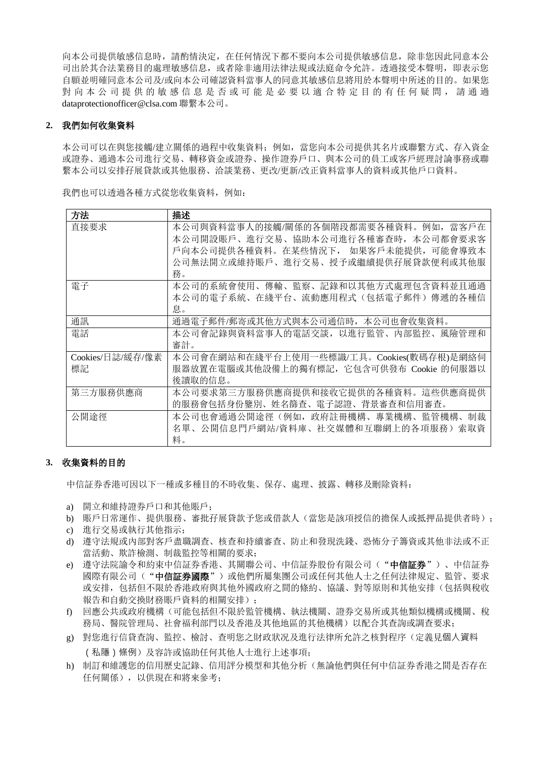向本公司提供敏感信息時,請酌情決定,在任何情況下都不要向本公司提供敏感信息,除非您因此同意本公 司出於其合法業務目的處理敏感信息,或者除非適用法律法規或法庭命令允許。透過接受本聲明,即表示您 自願並明確同意本公司及/或向本公司確認資料當事人的同意其敏感信息將用於本聲明中所述的目的。如果您 對 向 本 公 司 提 供 的 敏 感 信 息 是 否 或 可 能 是 必 要 以 適 合 特 定 目 的 有 任 何 疑 問 , 請 通 過 dataprotectionofficer@clsa.com 聯繫本公司。

# **2.** 我們如何收集資料

本公司可以在與您接觸/建立關係的過程中收集資料;例如,當您向本公司提供其名片或聯繫方式、存入資金 或證券、通過本公司進行交易、轉移資金或證券、操作證券戶口、與本公司的員工或客戶經理討論事務或聯 繫本公司以安排孖展貸款或其他服務、洽談業務、更改/更新/改正資料當事人的資料或其他戶口資料。

我們也可以透過各種方式從您收集資料,例如:

| 方法               | 描述                                          |
|------------------|---------------------------------------------|
| 直接要求             | 本公司與資料當事人的接觸/關係的各個階段都需要各種資料。例如,當客戶在         |
|                  | 本公司開設賬戶、進行交易、協助本公司進行各種審查時,本公司都會要求客          |
|                  | 戶向本公司提供各種資料。在某些情況下, 如果客戶未能提供,可能會導致本         |
|                  | 公司無法開立或維持賬戶、進行交易、授予或繼續提供孖展貸款便利或其他服          |
|                  | 務。                                          |
| 電子               | 本公司的系統會使用、傳輸、監察、記錄和以其他方式處理包含資料並且通過          |
|                  | 本公司的電子系統、在綫平台、流動應用程式(包括電子郵件)傳遞的各種信          |
|                  | 息。                                          |
| 通訊               | 通過電子郵件/郵寄或其他方式與本公司通信時,本公司也會收集資料。            |
| 電話               | 本公司會記錄與資料當事人的電話交談, 以進行監管、<br>内部監控、<br>風險管理和 |
|                  | 審計。                                         |
| Cookies/日誌/緩存/像素 | 本公司會在網站和在綫平台上使用一些標識/工具。Cookies(數碼存根)是網絡伺    |
| 標記               | 服器放置在電腦或其他設備上的獨有標記,它包含可供發布 Cookie 的伺服器以     |
|                  | 後讀取的信息。                                     |
| 第三方服務供應商         | 本公司要求第三方服務供應商提供和接收它提供的各種資料。這些供應商提供          |
|                  | 的服務會包括身份鑒別、姓名篩査、電子認證、背景審査和信用審査。             |
| 公開途徑             | 本公司也會通過公開途徑(例如,政府註冊機構、專業機構、監管機構、<br>制裁      |
|                  | 名單、公開信息門戶網站/資料庫、社交媒體和互聯網上的各項服務) 索取資         |
|                  | 料。                                          |

## **3.** 收集資料的目的

中信証券香港可因以下一種或多種目的不時收集、保存、處理、披露、轉移及刪除資料:

- a) 開立和維持證券戶口和其他賬戶;
- b) 賬戶日常運作、提供服務、審批孖展貸款予您或借款人(當您是該項授信的擔保人或抵押品提供者時);
- c) 進行交易或執行其他指示;
- d) 遵守法規或內部對客戶盡職調查、核查和持續審查、防止和發現洗錢、恐怖分子籌資或其他非法或不正 當活動、欺詐檢測、制裁監控等相關的要求;
- e) 遵守法院諭令和約束中信証券香港、其關聯公司、中信証券股份有限公司("**中信証券**")、中信証券 國際有限公司("中信証券國際")或他們所屬集團公司或任何其他人士之任何法律規定、監管、要求 或安排,包括但不限於香港政府與其他外國政府之間的條約、協議、對等原則和其他安排(包括與稅收 報告和自動交換財務賬戶資料的相關安排);
- f) 回應公共或政府機構(可能包括但不限於監管機構、執法機關、證券交易所或其他類似機構或機關、稅 務局、醫院管理局、社會福利部門以及香港及其他地區的其他機構)以配合其查詢或調查要求;
- g) 對您進行信貸查詢、監控、檢討、查明您之財政狀况及進行法律所允許之核對程序(定義見個人資料 (私隱)條例)及容許或協助任何其他人士進行上述事項;
- h) 制訂和維護您的信用歷史記錄、信用評分模型和其他分析(無論他們與任何中信証券香港之間是否存在 任何關係),以供現在和將來參考;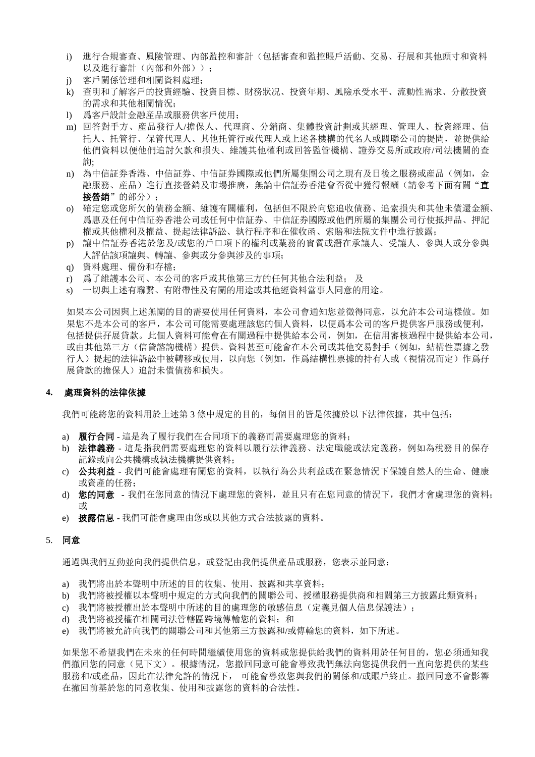- i) 進行合規審查、風險管理、內部監控和審計(包括審查和監控賬戶活動、交易、孖展和其他頭寸和資料 以及谁行審計(内部和外部)):
- j) 客戶關係管理和相關資料處理;
- k) 查明和了解客戶的投資經驗、投資目標、財務狀况、投資年期、風險承受水平、流動性需求、分散投資 的需求和其他相關情況;
- l) 爲客戶設計金融産品或服務供客戶使用;
- m) 回答對手方、産品發行人/擔保人、代理商、分銷商、集體投資計劃或其經理、管理人、投資經理、信 托人、托管行、保管代理人、其他托管行或代理人或上述各機構的代名人或關聯公司的提問,並提供給 他們資料以便他們追討欠款和損失、維護其他權利或回答監管機構、證券交易所或政府/司法機關的查 詢;
- n) 為中信証券香港、中信証券、中信証券國際或他們所屬集團公司之現有及日後之服務或産品(例如,金 融服務、産品)進行直接營銷及市場推廣,無論中信証券香港會否從中獲得報酬(請參考下面有關"直 接營銷"的部分):
- o) 確定您或您所欠的債務金額、維護有關權利,包括但不限於向您追收債務、追索損失和其他未償還金額、 爲惠及任何中信証券香港公司或任何中信証券、中信証券國際或他們所屬的集團公司行使抵押品、押記 權或其他權利及權益、提起法律訴訟、執行程序和在催收函、索賠和法院文件中進行披露;
- p) 讓中信証券香港於您及/或您的戶口項下的權利或業務的實質或潛在承讓人、受讓人、參與人或分參與 人評估該項讓與、轉讓、參與或分參與涉及的事項;
- q) 資料處理、備份和存檔;
- r) 爲了維護本公司、本公司的客戶或其他第三方的任何其他合法利益; 及
- s) 一切與上述有聯繫、有附帶性及有關的用途或其他經資料當事人同意的用途。

如果本公司因與上述無關的目的需要使用任何資料,本公司會通知您並徵得同意,以允許本公司這樣做。如 果您不是本公司的客戶,本公司可能需要處理該您的個人資料,以便爲本公司的客戶提供客戶服務或便利, 包括提供孖展貸款。此個人資料可能會在有關過程中提供給本公司,例如,在信用審核過程中提供給本公司, 或由其他第三方(信貸諮詢機構)提供。資料甚至可能會在本公司或其他交易對手(例如,結構性票據之發 行人)提起的法律訴訟中被轉移或使用,以向您(例如,作爲結構性票據的持有人或(視情况而定)作爲孖 展貸款的擔保人)追討未償債務和損失。

### **4.** 處理資料的法律依據

我們可能將您的資料用於上述第 3 條中規定的目的,每個目的皆是依據於以下法律依據,其中包括:

- a) 履行合同 這是為了履行我們在合同項下的義務而需要處理您的資料;
- b) 法律義務 這是指我們需要處理您的資料以履行法律義務、法定職能或法定義務,例如為稅務目的保存 記錄或向公共機構或執法機構提供資料;
- c) 公共利益 我們可能會處理有關您的資料,以執行為公共利益或在緊急情況下保護自然人的生命、健康 或資產的任務;
- d) 您的同意 我們在您同意的情況下處理您的資料,並且只有在您同意的情況下,我們才會處理您的資料; 或
- e) 披露信息 我們可能會處理由您或以其他方式合法披露的資料。

## 5. 同意

通過與我們互動並向我們提供信息,或登記由我們提供產品或服務,您表示並同意:

- a) 我們將出於本聲明中所述的目的收集、使用、披露和共享資料;
- b) 我們將被授權以本聲明中規定的方式向我們的關聯公司、授權服務提供商和相關第三方披露此類資料;
- c) 我們將被授權出於本聲明中所述的目的處理您的敏感信息(定義見個人信息保護法);
- d) 我們將被授權在相關司法管轄區跨境傳輸您的資料; 和
- e) 我們將被允許向我們的關聯公司和其他第三方披露和/或傳輸您的資料,如下所述。

如果您不希望我們在未來的任何時間繼續使用您的資料或您提供給我們的資料用於任何目的,您必須通知我 們撤回您的同意(見下文)。根據情況,您撤回同意可能會導致我們無法向您提供我們一直向您提供的某些 服務和/或產品,因此在法律允許的情況下,可能會導致您與我們的關係和/或賬戶終止。撤回同意不會影響 在撤回前基於您的同意收集、使用和披露您的資料的合法性。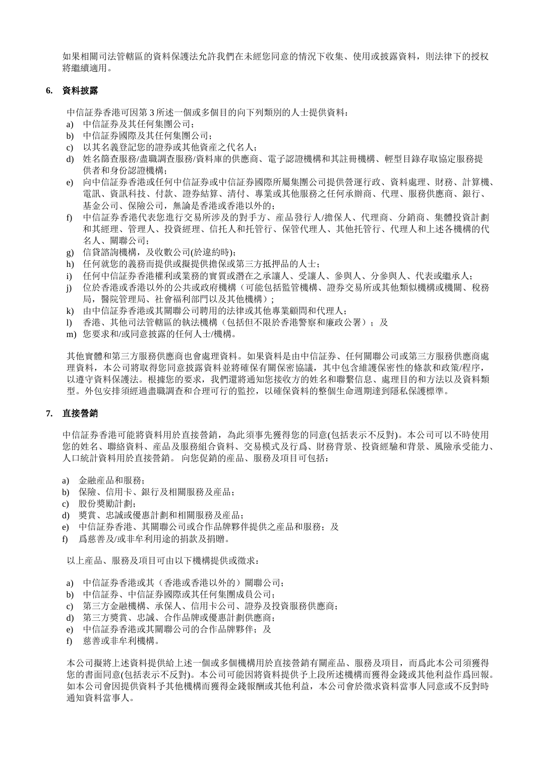如果相關司法管轄區的資料保護法允許我們在未經您同意的情況下收集、使用或披露資料,則法律下的授权 將繼續適用。

# **6.** 資料披露

中信証券香港可因第 3 所述一個或多個目的向下列類別的人士提供資料:

- a) 中信証券及其任何集團公司;
- b) 中信証券國際及其任何集團公司;
- c) 以其名義登記您的證券或其他資産之代名人;
- d) 姓名篩查服務/盡職調查服務/資料庫的供應商、電子認證機構和其註冊機構、輕型目錄存取協定服務提 供者和身份認證機構;
- e) 向中信証券香港或任何中信証券或中信証券國際所屬集團公司提供營運行政、資料處理、財務、計算機、 電訊、資訊科技、付款、證券結算、清付、專業或其他服務之任何承辦商、代理、服務供應商、銀行、 基金公司、保險公司,無論是香港或香港以外的;
- f) 中信証券香港代表您進行交易所涉及的對手方、産品發行人/擔保人、代理商、分銷商、集體投資計劃 和其經理、管理人、投資經理、信托人和托管行、保管代理人、其他托管行、代理人和上述各機構的代 名人、關聯公司;
- g) 信貸諮詢機構,及收數公司(於違約時);
- h) 任何就您的義務而提供或擬提供擔保或第三方抵押品的人士;
- i) 任何中信証券香港權利或業務的實質或潛在之承讓人、受讓人、參與人、分參與人、代表或繼承人;
- j) 位於香港或香港以外的公共或政府機構(可能包括監管機構、證券交易所或其他類似機構或機關、稅務 局,醫院管理局、社會福利部門以及其他機構);
- k) 由中信証券香港或其關聯公司聘用的法律或其他專業顧問和代理人;
- l) 香港、其他司法管轄區的執法機構(包括但不限於香港警察和廉政公署); 及
- m) 您要求和/或同意披露的任何人士/機構。

其他實體和第三方服務供應商也會處理資料。如果資料是由中信証券、任何關聯公司或第三方服務供應商處 理資料,本公司將取得您同意披露資料並將確保有關保密協議,其中包含維護保密性的條款和政策/程序, 以遵守資料保護法。根據您的要求,我們還將通知您接收方的姓名和聯繫信息、處理目的和方法以及資料類 型。外包安排須經過盡職調查和合理可行的監控,以確保資料的整個生命週期達到隱私保護標準。

# **7.** 直接營銷

中信証券香港可能將資料用於直接營銷,為此須事先獲得您的同意(包括表示不反對)。本公司可以不時使用 您的姓名、聯絡資料、産品及服務組合資料、交易模式及行爲、財務背景、投資經驗和背景、風險承受能力、 人口統計資料用於直接營銷。 向您促銷的産品、服務及項目可包括:

- a) 金融産品和服務;
- b) 保險、信用卡、銀行及相關服務及産品;
- c) 股份獎勵計劃;
- d) 獎賞、忠誠或優惠計劃和相關服務及産品;
- e) 中信証券香港、其關聯公司或合作品牌夥伴提供之産品和服務: 及
- f) 爲慈善及/或非牟利用途的捐款及捐贈。

以上産品、服務及項目可由以下機構提供或徵求:

- a) 中信証券香港或其(香港或香港以外的)關聯公司;
- b) 中信証券、中信証券國際或其任何集團成員公司;
- c) 第三方金融機構、承保人、信用卡公司、證券及投資服務供應商;
- d) 第三方獎賞、忠誠、合作品牌或優惠計劃供應商;
- e) 中信証券香港或其關聯公司的合作品牌夥伴;及
- f) 慈善或非牟利機構。

本公司擬將上述資料提供給上述一個或多個機構用於直接營銷有關産品、服務及項目,而爲此本公司須獲得 您的書面同意(包括表示不反對)。本公司可能因將資料提供予上段所述機構而獲得金錢或其他利益作爲回報。 如本公司會因提供資料予其他機構而獲得金錢報酬或其他利益,本公司會於徵求資料當事人同意或不反對時 通知資料當事人。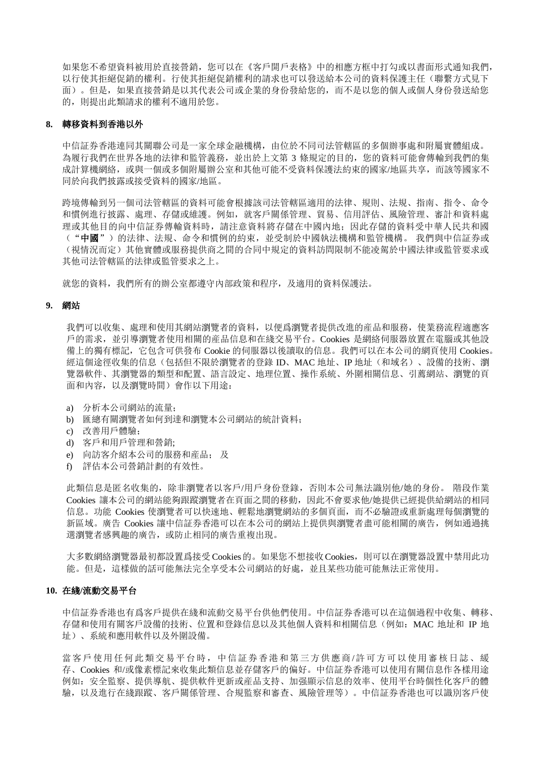如果您不希望資料被用於直接營銷,您可以在《客戶開戶表格》中的相應方框中打勾或以書面形式通知我們, 以行使其拒絕促銷的權利。行使其拒絕促銷權利的請求也可以發送給本公司的資料保護主任(聯繫方式見下 面)。但是,如果直接營銷是以其代表公司或企業的身份發給您的,而不是以您的個人或個人身份發送給您 的,則提出此類請求的權利不適用於您。

# **8.** 轉移資料到香港以外

中信証券香港連同其關聯公司是一家全球金融機構,由位於不同司法管轄區的多個辦事處和附屬實體組成。 為履行我們在世界各地的法律和監管義務,並出於上文第 3 條規定的目的,您的資料可能會傳輸到我們的集 成計算機網絡,或與一個或多個附屬辦公室和其他可能不受資料保護法約束的國家/地區共享,而該等國家不 同於向我們披露或接受資料的國家/地區。

跨境傳輸到另一個司法管轄區的資料可能會根據該司法管轄區適用的法律、規則、法規、指南、指令、命令 和慣例進行披露、處理、存儲或維護。例如,就客戶關係管理、貿易、信用評估、風險管理、審計和資料處 理或其他目的向中信証券傳輸資料時,請注意資料將存儲在中國內地;因此存儲的資料受中華人民共和國 ("中國")的法律、法規、命令和慣例的約束,並受制於中國執法機構和監管機構。 我們與中信証券或 (視情況而定)其他實體或服務提供商之間的合同中規定的資料訪問限制不能凌駕於中國法律或監管要求或 其他司法管轄區的法律或監管要求之上。

就您的資料,我們所有的辦公室都遵守內部政策和程序,及適用的資料保護法。

#### **9.** 網站

我們可以收集、處理和使用其網站瀏覽者的資料,以便爲瀏覽者提供改進的産品和服務,使業務流程適應客 戶的需求,並引導瀏覽者使用相關的産品信息和在綫交易平台。Cookies 是網絡伺服器放置在電腦或其他設 備上的獨有標記,它包含可供發布 Cookie 的伺服器以後讀取的信息。我們可以在本公司的網頁使用 Cookies。 經這個途徑收集的信息(包括但不限於瀏覽者的登錄 ID、MAC 地址、IP 地址(和域名)、設備的技術、瀏 覽器軟件、其瀏覽器的類型和配置、語言設定、地理位置、操作系統、外圍相關信息、引薦網站、瀏覽的頁 面和內容,以及瀏覽時間)會作以下用途:

- a) 分析本公司網站的流量;
- b) 匯總有關瀏覽者如何到達和瀏覽本公司網站的統計資料;
- c) 改善用戶體驗;
- d) 客戶和用戶管理和營銷;
- e) 向訪客介紹本公司的服務和産品; 及
- f) 評估本公司營銷計劃的有效性。

此類信息是匿名收集的,除非瀏覽者以客戶/用戶身份登錄,否則本公司無法識別他/她的身份。 階段作業 Cookies 讓本公司的網站能夠跟蹤瀏覽者在頁面之間的移動,因此不會要求他/她提供已經提供給網站的相同 信息。功能 Cookies 使瀏覽者可以快速地、輕鬆地瀏覽網站的多個頁面,而不必驗證或重新處理每個瀏覽的 新區域。廣告 Cookies 讓中信証券香港可以在本公司的網站上提供與瀏覽者盡可能相關的廣告,例如通過挑 選瀏覽者感興趣的廣告,或防止相同的廣告重複出現。

大多數網絡瀏覽器最初都設置爲接受 Cookies的。如果您不想接收Cookies,則可以在瀏覽器設置中禁用此功 能。但是,這樣做的話可能無法完全享受本公司網站的好處,並且某些功能可能無法正常使用。

#### **10.** 在綫**/**流動交易平台

中信証券香港也有爲客戶提供在綫和流動交易平台供他們使用。中信証券香港可以在這個過程中收集、轉移、 存儲和使用有關客戶設備的技術、位置和登錄信息以及其他個人資料和相關信息(例如:MAC 地址和 IP 地 址)、系統和應用軟件以及外圍設備。

當客戶使用任何此類交易平台時,中信証券香港和第三方供應商/許可方可以使用審核日誌、緩 存、Cookies 和/或像素標記來收集此類信息並存儲客戶的偏好。中信証券香港可以使用有關信息作各樣用途 例如:安全監察、提供導航、提供軟件更新或産品支持、加强顯示信息的效率、使用平台時個性化客戶的體 驗,以及進行在綫跟蹤、客戶關係管理、合規監察和審查、風險管理等)。中信証券香港也可以識別客戶使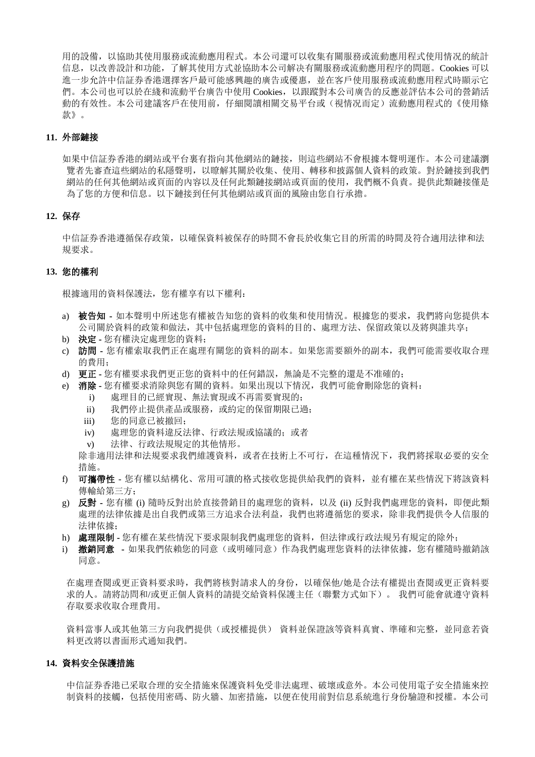用的設備,以協助其使用服務或流動應用程式。本公司還可以收集有關服務或流動應用程式使用情况的統計 信息, 以改善設計和功能, 了解其使用方式並協助本公司解决有關服務或流動應用程序的問題。Cookies 可以 進一步允許中信証券香港選擇客戶最可能感興趣的廣告或優惠,並在客戶使用服務或流動應用程式時顯示它 們。本公司也可以於在綫和流動平台廣告中使用 Cookies,以跟蹤對本公司廣告的反應並評估本公司的營銷活 動的有效性。本公司建議客戶在使用前,仔細閱讀相關交易平台或(視情况而定)流動應用程式的《使用條 款》。

### **11.** 外部鏈接

如果中信証券香港的網站或平台裏有指向其他網站的鏈接,則這些網站不會根據本聲明運作。本公司建議瀏 覽者先審查這些網站的私隱聲明,以瞭解其關於收集、使用、轉移和披露個人資料的政策。對於鏈接到我們 網站的任何其他網站或頁面的內容以及任何此類鏈接網站或頁面的使用,我們概不負責。提供此類鏈接僅是 為了您的方便和信息。以下鏈接到任何其他網站或頁面的風險由您自行承擔。

#### **12.** 保存

中信証券香港遵循保存政策,以確保資料被保存的時間不會長於收集它目的所需的時間及符合適用法律和法 規要求。

# **13.** 您的權利

根據適用的資料保護法,您有權享有以下權利:

- a) 被告知 **-** 如本聲明中所述您有權被告知您的資料的收集和使用情況。根據您的要求,我們將向您提供本 公司關於資料的政策和做法,其中包括處理您的資料的目的、處理方法、保留政策以及將與誰共享;
- b) 決定 **-** 您有權決定處理您的資料;
- c) 訪問 **-** 您有權索取我們正在處理有關您的資料的副本。如果您需要額外的副本,我們可能需要收取合理 的費用;
- d) 更正 **-** 您有權要求我們更正您的資料中的任何錯誤,無論是不完整的還是不准確的;
- e) 消除 **-** 您有權要求消除與您有關的資料。如果出現以下情況,我們可能會刪除您的資料:
	- i) 處理目的已經實現、無法實現或不再需要實現的;
	- ii) 我們停止提供產品或服務,或約定的保留期限已過;
	- iii) 您的同意已被撤回;
	- iv) 處理您的資料違反法律、行政法規或協議的;或者
	- v) 法律、行政法規規定的其他情形。

除非適用法律和法規要求我們維護資料,或者在技術上不可行,在這種情況下,我們將採取必要的安全 措施。

- f) 可攜帶性 您有權以結構化、常用可讀的格式接收您提供給我們的資料,並有權在某些情況下將該資料 傳輸給第三方;
- g) 反對 **-** 您有權 (i) 隨時反對出於直接營銷目的處理您的資料,以及 (ii) 反對我們處理您的資料,即便此類 處理的法律依據是出自我們或第三方追求合法利益,我們也將遵循您的要求,除非我們提供令人信服的 法律依據;
- h) 處理限制 **-** 您有權在某些情況下要求限制我們處理您的資料,但法律或行政法規另有規定的除外;
- i) 撤銷同意 **-** 如果我們依賴您的同意(或明確同意)作為我們處理您資料的法律依據,您有權隨時撤銷該 同意。

在處理查閱或更正資料要求時,我們將核對請求人的身份,以確保他/她是合法有權提出查閱或更正資料要 求的人。請將訪問和/或更正個人資料的請提交給資料保護主任(聯繫方式如下)。 我們可能會就遵守資料 存取要求收取合理費用。

資料當事人或其他第三方向我們提供(或授權提供) 資料並保證該等資料真實、準確和完整,並同意若資 料更改將以書面形式通知我們。

## **14.** 資料安全保護措施

中信証券香港已采取合理的安全措施來保護資料免受非法處理、破壞或意外。本公司使用電子安全措施來控 制資料的接觸,包括使用密碼、防火牆、加密措施,以便在使用前對信息系統進行身份驗證和授權。本公司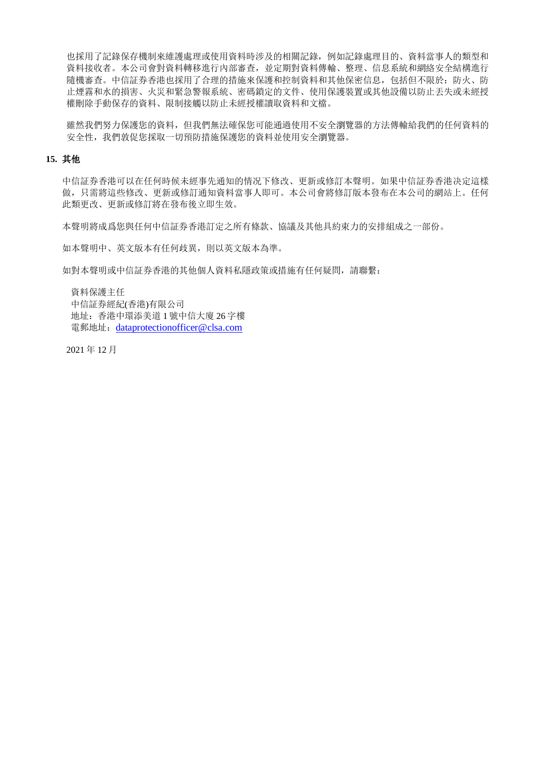也採用了記錄保存機制來維護處理或使用資料時涉及的相關記錄,例如記錄處理目的、資料當事人的類型和 資料接收者。本公司會對資料轉移進行內部審查,並定期對資料傳輸、整理、信息系統和網絡安全結構進行 隨機審查。中信証券香港也採用了合理的措施來保護和控制資料和其他保密信息,包括但不限於:防火、防 止煙霧和水的損害、火災和緊急警報系統、密碼鎖定的文件、使用保護裝置或其他設備以防止丟失或未經授 權刪除手動保存的資料、限制接觸以防止未經授權讀取資料和文檔。

雖然我們努力保護您的資料,但我們無法確保您可能通過使用不安全瀏覽器的方法傳輸給我們的任何資料的 安全性,我們敦促您採取一切預防措施保護您的資料並使用安全瀏覽器。

### **15.** 其他

中信証券香港可以在任何時候未經事先通知的情况下修改、更新或修訂本聲明。如果中信証券香港决定這樣 做,只需將這些修改、更新或修訂通知資料當事人即可。本公司會將修訂版本發布在本公司的網站上。任何 此類更改、更新或修訂將在發布後立即生效。

本聲明將成爲您與任何中信証券香港訂定之所有條款、協議及其他具約束力的安排組成之一部份。

如本聲明中、英文版本有任何歧異,則以英文版本為準。

如對本聲明或中信証券香港的其他個人資料私隱政策或措施有任何疑問,請聯繫:

 資料保護主任 中信証券經紀(香港)有限公司 地址:香港中環添美道 1 號中信大廈 26 字樓 電郵地址:[dataprotectionofficer@clsa.com](mailto:dataprotectionofficer@clsa.com)

2021 年 12 月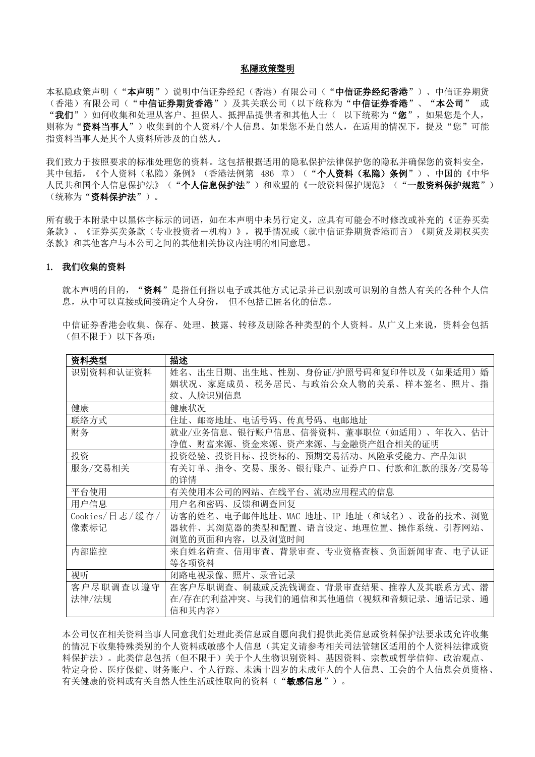#### 私隱政策聲明

本私隐政策声明("本声明")说明中信证券经纪(香港)有限公司("中信证券经纪香港")、中信证券期货 (香港)有限公司("中信证券期货香港")及其关联公司(以下统称为"中信证券香港"、"本公司" 或 "我们")如何收集和处理从客户、担保人、抵押品提供者和其他人士( 以下统称为"您",如果您是个人, 则称为"资料当事人")收集到的个人资料/个人信息。如果您不是自然人,在适用的情况下,提及"您"可能 指资料当事人是其个人资料所涉及的自然人。

我们致力于按照要求的标准处理您的资料。这包括根据适用的隐私保护法律保护您的隐私并确保您的资料安全, 其中包括,《个人资料(私隐)条例》(香港法例第 486 章)("个人资料(私隐)条例")、中国的《中华 人民共和国个人信息保护法》("个人信息保护法")和欧盟的《一般资料保护规范》("一般资料保护规范") (统称为**"资料保护法"**)。

所有载于本附录中以黑体字标示的词语,如在本声明中未另行定义,应具有可能会不时修改或补充的《证券买卖 条款》、《证券买卖条款(专业投资者-机构)》,视乎情况或(就中信证券期货香港而言)《期货及期权买卖 条款》和其他客户与本公司之间的其他相关协议内注明的相同意思。

# 1. 我们收集的资料

就本声明的目的, "资料"是指任何指以电子或其他方式记录并已识别或可识别的自然人有关的各种个人信 息,从中可以直接或间接确定个人身份, 但不包括已匿名化的信息。

| 资料类型           | 描述                                      |
|----------------|-----------------------------------------|
| 识别资料和认证资料      | 姓名、出生日期、出生地、性别、身份证/护照号码和复印件以及(如果适用)婚    |
|                | 姻状况、家庭成员、税务居民、与政治公众人物的关系、样本签名、照片、指      |
|                | 纹、人脸识别信息                                |
| 健康             | 健康状况                                    |
| 联络方式           | 邮寄地址、电话号码、传真号码、电邮地址<br>住址、              |
| 财务             | 就业/业务信息、银行账户信息、信誉资料、董事职位(如适用)、年收入、估计    |
|                | 财富来源、资金来源、资产来源、与金融资产组合相关的证明<br>净值、      |
| 投资             | 投资目标、投资标的、预期交易活动、风险承受能力、产品知识<br>投资经验、   |
| 服务/交易相关        | 有关订单、指令、交易、服务、银行账户、证券户口、付款和汇款的服务/交易等    |
|                | 的详情                                     |
| 平台使用           | 有关使用本公司的网站、在线平台、流动应用程式的信息               |
| 用户信息           | 用户名和密码、反馈和调查回复                          |
| Cookies/日志/缓存/ | 访客的姓名、电子邮件地址、MAC 地址、IP 地址(和域名)、设备的技术、浏览 |
| 像素标记           | 器软件、其浏览器的类型和配置、语言设定、地理位置、操作系统、引荐网站、     |
|                | 浏览的页面和内容,以及浏览时间                         |
| 内部监控           | 来自姓名筛查、信用审查、背景审查、专业资格查核、负面新闻审查、电子认证     |
|                | 等各项资料                                   |
| 视听             | 闭路电视录像、照片、录音记录                          |
| 客户尽职调查以遵守      | 在客户尽职调查、制裁或反洗钱调查、背景审查结果、推荐人及其联系方式、潜     |
| 法律/法规          | 在/存在的利益冲突、与我们的通信和其他通信(视频和音频记录、通话记录、通    |
|                | 信和其内容)                                  |

中信证券香港会收集、保存、处理、披露、转移及删除各种类型的个人资料。从广义上来说,资料会包括 (但不限于)以下各项:

本公司仅在相关资料当事人同意我们处理此类信息或自愿向我们提供此类信息或资料保护法要求或允许收集 的情况下收集特殊类别的个人资料或敏感个人信息(其定义请参考相关司法管辖区适用的个人资料法律或资 料保护法)。此类信息包括(但不限于)关于个人生物识别资料、基因资料、宗教或哲学信仰、政治观点、 特定身份、医疗保健、财务账户、个人行踪、未满十四岁的未成年人的个人信息、工会的个人信息会员资格、 有关健康的资料或有关自然人性生活或性取向的资料("敏**感信息**")。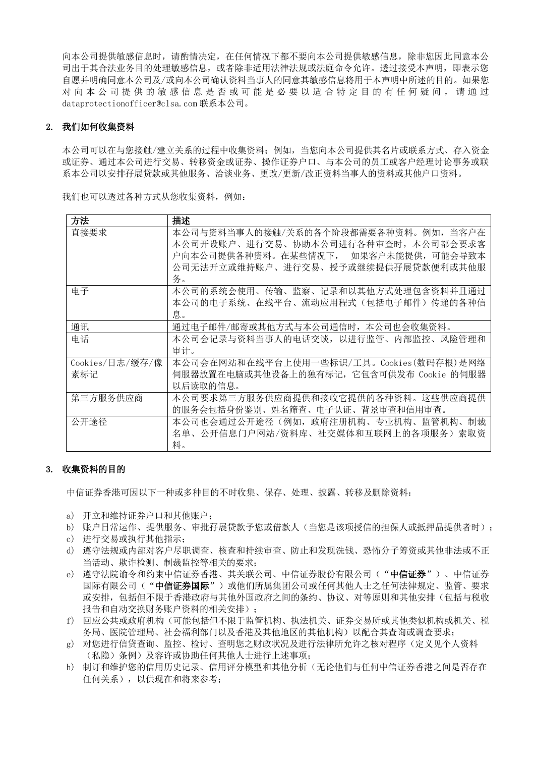向本公司提供敏感信息时,请酌情决定,在任何情况下都不要向本公司提供敏感信息,除非您因此同意本公 司出于其合法业务目的处理敏感信息,或者除非适用法律法规或法庭命令允许。透过接受本声明,即表示您 自愿并明确同意本公司及/或向本公司确认资料当事人的同意其敏感信息将用于本声明中所述的目的。如果您 对 向 本 公 司 提 供 的 敏 感 信 息 是 否 或 可 能 是 必 要 以 适 合 特 定 目 的 有 任 何 疑 问 , 请 通 过 dataprotectionofficer@clsa.com 联系本公司。

# 2. 我们如何收集资料

本公司可以在与您接触/建立关系的过程中收集资料;例如,当您向本公司提供其名片或联系方式、存入资金 或证券、通过本公司进行交易、转移资金或证券、操作证券户口、与本公司的员工或客户经理讨论事务或联 系本公司以安排孖展贷款或其他服务、洽谈业务、更改/更新/改正资料当事人的资料或其他户口资料。

| 方法              | 描述                                      |
|-----------------|-----------------------------------------|
| 直接要求            | 本公司与资料当事人的接触/关系的各个阶段都需要各种资料。例如,当客户在     |
|                 | 本公司开设账户、进行交易、协助本公司进行各种审查时, 本公司都会要求客     |
|                 | 户向本公司提供各种资料。在某些情况下, 如果客户未能提供,可能会导致本     |
|                 | 公司无法开立或维持账户、进行交易、授予或继续提供孖展贷款便利或其他服      |
|                 | 务。                                      |
| 电子              | 本公司的系统会使用、传输、监察、记录和以其他方式处理包含资料并且通过      |
|                 | 本公司的电子系统、在线平台、流动应用程式(包括电子邮件)传递的各种信      |
|                 | 息。                                      |
| 通讯              | 通过电子邮件/邮寄或其他方式与本公司通信时,本公司也会收集资料。        |
| 电话              | 本公司会记录与资料当事人的电话交谈,以进行监管、内部监控、风险管理和      |
|                 | 审计。                                     |
| Cookies/日志/缓存/像 | 本公司会在网站和在线平台上使用一些标识/工具。Cookies(数码存根)是网络 |
| 素标记             | 伺服器放置在电脑或其他设备上的独有标记,它包含可供发布 Cookie 的伺服器 |
|                 | 以后读取的信息。                                |
| 第三方服务供应商        | 本公司要求第三方服务供应商提供和接收它提供的各种资料。这些供应商提供      |
|                 | 的服务会包括身份鉴别、姓名筛查、电子认证、背景审查和信用审查。         |
| 公开途径            | 本公司也会通过公开途径(例如,政府注册机构、专业机构、监管机构、制裁      |
|                 | 名单、公开信息门户网站/资料库、社交媒体和互联网上的各项服务)索取资      |
|                 | 料。                                      |

我们也可以透过各种方式从您收集资料,例如:

# 3. 收集资料的目的

中信证券香港可因以下一种或多种目的不时收集、保存、处理、披露、转移及删除资料:

- a) 开立和维持证券户口和其他账户;
- b) 账户日常运作、提供服务、审批孖展贷款予您或借款人(当您是该项授信的担保人或抵押品提供者时):
- c) 进行交易或执行其他指示;
- d) 遵守法规或内部对客户尽职调查、核查和持续审查、防止和发现洗钱、恐怖分子筹资或其他非法或不正 当活动、欺诈检测、制裁监控等相关的要求;
- e) 遵守法院谕令和约束中信证券香港、其关联公司、中信证券股份有限公司("**中信证券**")、中信证券 国际有限公司("中信证券国际")或他们所属集团公司或任何其他人士之任何法律规定、监管、要求 或安排,包括但不限于香港政府与其他外国政府之间的条约、协议、对等原则和其他安排(包括与税收 报告和自动交换财务账户资料的相关安排);
- f) 回应公共或政府机构(可能包括但不限于监管机构、执法机关、证券交易所或其他类似机构或机关、税 务局、医院管理局、社会福利部门以及香港及其他地区的其他机构)以配合其查询或调查要求;
- g) 对您进行信贷查询、监控、检讨、查明您之财政状况及进行法律所允许之核对程序(定义见个人资料 (私隐)条例)及容许或协助任何其他人士进行上述事项;
- h) 制订和维护您的信用历史记录、信用评分模型和其他分析(无论他们与任何中信证券香港之间是否存在 任何关系),以供现在和将来参考;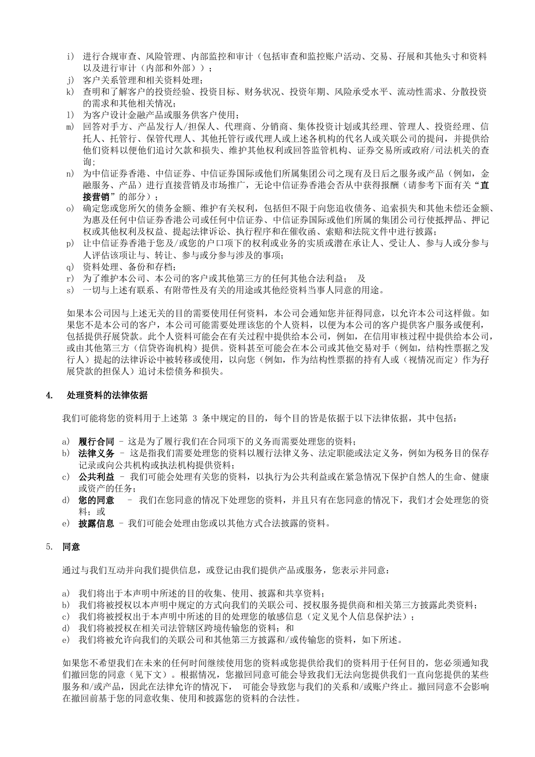- i) 进行合规审查、风险管理、内部监控和审计(包括审查和监控账户活动、交易、孖展和其他头寸和资料 以及讲行审计(内部和外部));
- j) 客户关系管理和相关资料处理;
- k) 查明和了解客户的投资经验、投资目标、财务状况、投资年期、风险承受水平、流动性需求、分散投资 的需求和其他相关情况;
- l) 为客户设计金融产品或服务供客户使用;
- m) 回答对手方、产品发行人/担保人、代理商、分销商、集体投资计划或其经理、管理人、投资经理、信 托人、托管行、保管代理人、其他托管行或代理人或上述各机构的代名人或关联公司的提问,并提供给 他们资料以便他们追讨欠款和损失、维护其他权利或回答监管机构、证券交易所或政府/司法机关的查 询;
- n) 为中信证券香港、中信证券、中信证券国际或他们所属集团公司之现有及日后之服务或产品(例如,金 融服务、产品)进行直接营销及市场推广,无论中信证券香港会否从中获得报酬(请参考下面有关"直 接营销"的部分):
- o) 确定您或您所欠的债务金额、维护有关权利,包括但不限于向您追收债务、追索损失和其他未偿还金额、 为惠及任何中信证券香港公司或任何中信证券、中信证券国际或他们所属的集团公司行使抵押品、押记 权或其他权利及权益、提起法律诉讼、执行程序和在催收函、索赔和法院文件中进行披露;
- p) 让中信证券香港于您及/或您的户口项下的权利或业务的实质或潜在承让人、受让人、参与人或分参与 人评估该项让与、转让、参与或分参与涉及的事项;
- q) 资料处理、备份和存档;
- r) 为了维护本公司、本公司的客户或其他第三方的任何其他合法利益; 及
- s) 一切与上述有联系、有附带性及有关的用途或其他经资料当事人同意的用途。

如果本公司因与上述无关的目的需要使用任何资料,本公司会通知您并征得同意,以允许本公司这样做。如 果您不是本公司的客户,本公司可能需要处理该您的个人资料,以便为本公司的客户提供客户服务或便利, 包括提供孖展贷款。此个人资料可能会在有关过程中提供给本公司,例如,在信用审核过程中提供给本公司, 或由其他第三方(信贷咨询机构)提供。资料甚至可能会在本公司或其他交易对手(例如,结构性票据之发 行人)提起的法律诉讼中被转移或使用,以向您(例如,作为结构性票据的持有人或(视情况而定)作为孖 展贷款的担保人)追讨未偿债务和损失。

## 4. 处理资料的法律依据

我们可能将您的资料用于上述第 3 条中规定的目的,每个目的皆是依据于以下法律依据,其中包括:

- a) 履行合同 这是为了履行我们在合同项下的义务而需要处理您的资料;
- b) 法律义务 这是指我们需要处理您的资料以履行法律义务、法定职能或法定义务,例如为税务目的保存 记录或向公共机构或执法机构提供资料;
- c) 公共利益 我们可能会处理有关您的资料, 以执行为公共利益或在紧急情况下保护自然人的生命、健康 或资产的任务;
- d) 您的同意 我们在您同意的情况下处理您的资料,并且只有在您同意的情况下,我们才会处理您的资 料: 或
- e) 披露信息 我们可能会处理由您或以其他方式合法披露的资料。

#### 5. 同意

通过与我们互动并向我们提供信息,或登记由我们提供产品或服务,您表示并同意:

- a) 我们将出于本声明中所述的目的收集、使用、披露和共享资料;
- b) 我们将被授权以本声明中规定的方式向我们的关联公司、授权服务提供商和相关第三方披露此类资料;
- c) 我们将被授权出于本声明中所述的目的处理您的敏感信息(定义见个人信息保护法);
- d) 我们将被授权在相关司法管辖区跨境传输您的资料; 和
- e) 我们将被允许向我们的关联公司和其他第三方披露和/或传输您的资料,如下所述。

如果您不希望我们在未来的任何时间继续使用您的资料或您提供给我们的资料用于任何目的,您必须通知我 们撤回您的同意(见下文)。根据情况,您撤回同意可能会导致我们无法向您提供我们一直向您提供的某些 服务和/或产品,因此在法律允许的情况下,可能会导致您与我们的关系和/或账户终止。撤回同意不会影响 在撤回前基于您的同意收集、使用和披露您的资料的合法性。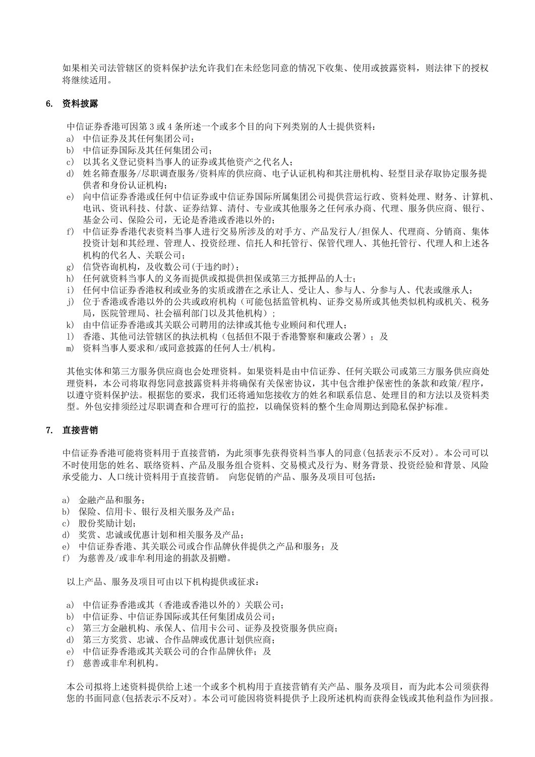如果相关司法管辖区的资料保护法允许我们在未经您同意的情况下收集、使用或披露资料,则法律下的授权 将继续适用。

# 6. 资料披露

中信证券香港可因第 3 或 4 条所述一个或多个目的向下列类别的人士提供资料:

- a) 中信证券及其任何集团公司;
- b) 中信证券国际及其任何集团公司;
- c) 以其名义登记资料当事人的证券或其他资产之代名人;
- d) 姓名筛查服务/尽职调查服务/资料库的供应商、电子认证机构和其注册机构、轻型目录存取协定服务提 供者和身份认证机构;
- e) 向中信证券香港或任何中信证券或中信证券国际所属集团公司提供营运行政、资料处理、财务、计算机、 电讯、资讯科技、付款、证券结算、清付、专业或其他服务之任何承办商、代理、服务供应商、银行、 基金公司、保险公司,无论是香港或香港以外的;
- f) 中信证券香港代表资料当事人进行交易所涉及的对手方、产品发行人/担保人、代理商、分销商、集体 投资计划和其经理、管理人、投资经理、信托人和托管行、保管代理人、其他托管行、代理人和上述各 机构的代名人、关联公司;
- g) 信贷咨询机构,及收数公司(于违约时);
- h) 任何就资料当事人的义务而提供或拟提供担保或第三方抵押品的人士;
- i) 任何中信证券香港权利或业务的实质或潜在之承让人、受让人、参与人、分参与人、代表或继承人;
- j) 位于香港或香港以外的公共或政府机构(可能包括监管机构、证券交易所或其他类似机构或机关、税务 局, 医院管理局、社会福利部门以及其他机构):
- k) 由中信证券香港或其关联公司聘用的法律或其他专业顾问和代理人;
- l) 香港、其他司法管辖区的执法机构(包括但不限于香港警察和廉政公署);及
- m) 资料当事人要求和/或同意披露的任何人士/机构。

其他实体和第三方服务供应商也会处理资料。如果资料是由中信证券、任何关联公司或第三方服务供应商处 理资料,本公司将取得您同意披露资料并将确保有关保密协议,其中包含维护保密性的条款和政策/程序, 以遵守资料保护法。根据您的要求,我们还将通知您接收方的姓名和联系信息、处理目的和方法以及资料类 型。外包安排须经过尽职调查和合理可行的监控,以确保资料的整个生命周期达到隐私保护标准。

# 7. 直接营销

中信证券香港可能将资料用于直接营销,为此须事先获得资料当事人的同意(包括表示不反对)。本公司可以 不时使用您的姓名、联络资料、产品及服务组合资料、交易模式及行为、财务背景、投资经验和背景、风险 承受能力、人口统计资料用于直接营销。 向您促销的产品、服务及项目可包括:

- a) 金融产品和服务;
- b) 保险、信用卡、银行及相关服务及产品;
- c) 股份奖励计划;
- d) 奖赏、忠诚或优惠计划和相关服务及产品;
- e) 中信证券香港、其关联公司或合作品牌伙伴提供之产品和服务; 及
- f) 为慈善及/或非牟利用途的捐款及捐赠。

以上产品、服务及项目可由以下机构提供或征求:

- a) 中信证券香港或其(香港或香港以外的)关联公司;
- b) 中信证券、中信证券国际或其任何集团成员公司;
- c) 第三方金融机构、承保人、信用卡公司、证券及投资服务供应商;
- d) 第三方奖赏、忠诚、合作品牌或优惠计划供应商;
- e) 中信证券香港或其关联公司的合作品牌伙伴;及
- f) 慈善或非牟利机构。

本公司拟将上述资料提供给上述一个或多个机构用于直接营销有关产品、服务及项目,而为此本公司须获得 您的书面同意(包括表示不反对)。本公司可能因将资料提供予上段所述机构而获得金钱或其他利益作为回报。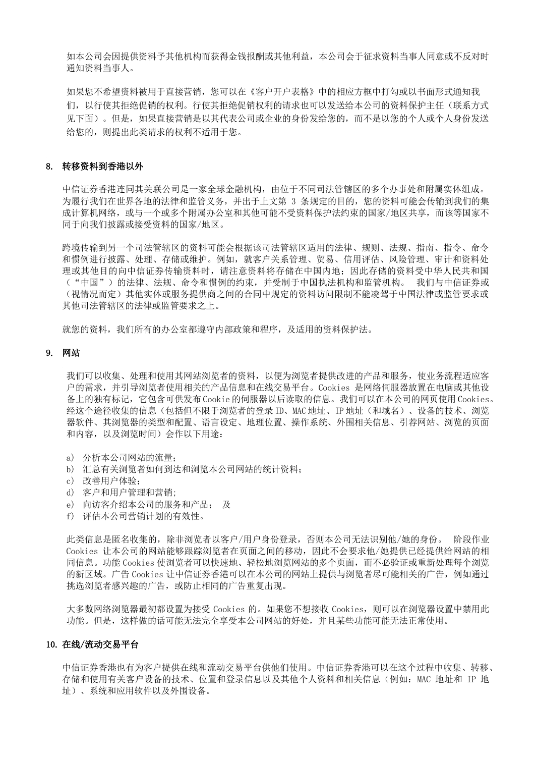如本公司会因提供资料予其他机构而获得金钱报酬或其他利益,本公司会于征求资料当事人同意或不反对时 通知资料当事人。

如果您不希望资料被用于直接营销,您可以在《客户开户表格》中的相应方框中打勾或以书面形式通知我 们,以行使其拒绝促销的权利。行使其拒绝促销权利的请求也可以发送给本公司的资料保护主任(联系方式 见下面)。但是,如果直接营销是以其代表公司或企业的身份发给您的,而不是以您的个人或个人身份发送 给您的,则提出此类请求的权利不适用于您。

### 8. 转移资料到香港以外

中信证券香港连同其关联公司是一家全球金融机构,由位于不同司法管辖区的多个办事处和附属实体组成。 为履行我们在世界各地的法律和监管义务,并出于上文第 3 条规定的目的,您的资料可能会传输到我们的集 成计算机网络,或与一个或多个附属办公室和其他可能不受资料保护法约束的国家/地区共享,而该等国家不 同于向我们披露或接受资料的国家/地区。

跨境传输到另一个司法管辖区的资料可能会根据该司法管辖区适用的法律、规则、法规、指南、指令、命令 和惯例进行披露、处理、存储或维护。例如,就客户关系管理、贸易、信用评估、风险管理、审计和资料处 理或其他目的向中信证券传输资料时,请注意资料将存储在中国内地;因此存储的资料受中华人民共和国 ("中国")的法律、法规、命令和惯例的约束,并受制于中国执法机构和监管机构。 我们与中信证券或 (视情况而定)其他实体或服务提供商之间的合同中规定的资料访问限制不能凌驾于中国法律或监管要求或 其他司法管辖区的法律或监管要求之上。

就您的资料,我们所有的办公室都遵守内部政策和程序,及适用的资料保护法。

# 9. 网站

我们可以收集、处理和使用其网站浏览者的资料,以便为浏览者提供改进的产品和服务,使业务流程适应客 户的需求,并引导浏览者使用相关的产品信息和在线交易平台。Cookies 是网络伺服器放置在电脑或其他设 备上的独有标记,它包含可供发布 Cookie 的伺服器以后读取的信息。我们可以在本公司的网页使用 Cookies。 经这个途径收集的信息(包括但不限于浏览者的登录 ID、MAC 地址、IP 地址(和域名)、设备的技术、浏览 器软件、其浏览器的类型和配置、语言设定、地理位置、操作系统、外围相关信息、引荐网站、浏览的页面 和内容,以及浏览时间)会作以下用途:

- a) 分析本公司网站的流量;
- b) 汇总有关浏览者如何到达和浏览本公司网站的统计资料;
- c) 改善用户体验;
- d) 客户和用户管理和营销;
- e) 向访客介绍本公司的服务和产品; 及
- f) 评估本公司营销计划的有效性。

此类信息是匿名收集的,除非浏览者以客户/用户身份登录,否则本公司无法识别他/她的身份。 阶段作业 Cookies 让本公司的网站能够跟踪浏览者在页面之间的移动,因此不会要求他/她提供已经提供给网站的相 同信息。功能 Cookies 使浏览者可以快速地、轻松地浏览网站的多个页面,而不必验证或重新处理每个浏览 的新区域。广告 Cookies 让中信证券香港可以在本公司的网站上提供与浏览者尽可能相关的广告,例如通过 挑选浏览者感兴趣的广告,或防止相同的广告重复出现。

大多数网络浏览器最初都设置为接受 Cookies 的。如果您不想接收 Cookies,则可以在浏览器设置中禁用此 功能。但是,这样做的话可能无法完全享受本公司网站的好处,并且某些功能可能无法正常使用。

## 10. 在线/流动交易平台

中信证券香港也有为客户提供在线和流动交易平台供他们使用。中信证券香港可以在这个过程中收集、转移、 存储和使用有关客户设备的技术、位置和登录信息以及其他个人资料和相关信息(例如:MAC 地址和 IP 地 址)、系统和应用软件以及外围设备。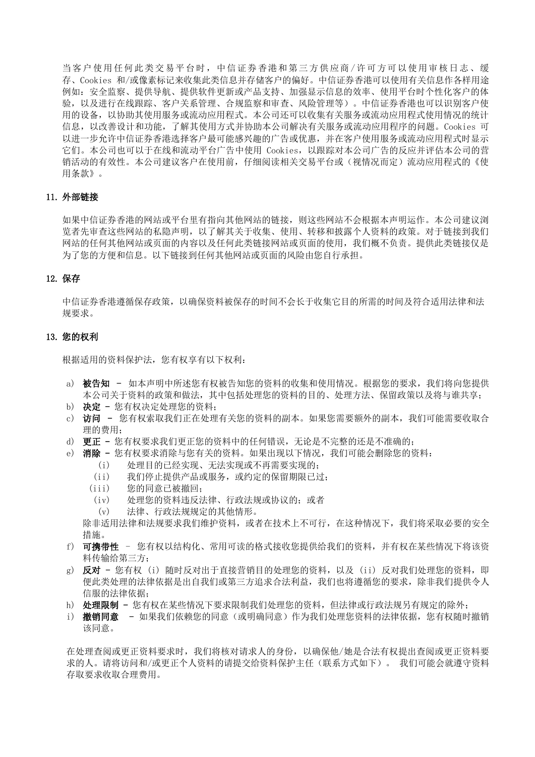当客户使用任何此类交易平台时,中信证券香港和第三方供应商 /许可方可以使用审核日志、缓 存、Cookies 和/或像素标记来收集此类信息并存储客户的偏好。中信证券香港可以使用有关信息作各样用途 例如:安全监察、提供导航、提供软件更新或产品支持、加强显示信息的效率、使用平台时个性化客户的体 验,以及进行在线跟踪、客户关系管理、合规监察和审查、风险管理等)。中信证券香港也可以识别客户使 用的设备,以协助其使用服务或流动应用程式。本公司还可以收集有关服务或流动应用程式使用情况的统计 信息,以改善设计和功能,了解其使用方式并协助本公司解决有关服务或流动应用程序的问题。Cookies 可 以进一步允许中信证券香港选择客户最可能感兴趣的广告或优惠,并在客户使用服务或流动应用程式时显示 它们。本公司也可以于在线和流动平台广告中使用 Cookies,以跟踪对本公司广告的反应并评估本公司的营 销活动的有效性。本公司建议客户在使用前,仔细阅读相关交易平台或(视情况而定)流动应用程式的《使 用条款》。

# 11. 外部链接

如果中信证券香港的网站或平台里有指向其他网站的链接,则这些网站不会根据本声明运作。本公司建议浏 览者先审查这些网站的私隐声明,以了解其关于收集、使用、转移和披露个人资料的政策。对于链接到我们 网站的任何其他网站或页面的内容以及任何此类链接网站或页面的使用,我们概不负责。提供此类链接仅是 为了您的方便和信息。以下链接到任何其他网站或页面的风险由您自行承担。

### 12. 保存

中信证券香港遵循保存政策,以确保资料被保存的时间不会长于收集它目的所需的时间及符合适用法律和法 规要求。

# 13. 您的权利

根据适用的资料保护法,您有权享有以下权利:

- a) 被告知 如本声明中所述您有权被告知您的资料的收集和使用情况。根据您的要求,我们将向您提供 本公司关于资料的政策和做法,其中包括处理您的资料的目的、处理方法、保留政策以及将与谁共享;
- b) 决定 您有权决定处理您的资料;
- c) 访问 您有权索取我们正在处理有关您的资料的副本。如果您需要额外的副本,我们可能需要收取合 理的费用;
- d) 更正 您有权要求我们更正您的资料中的任何错误,无论是不完整的还是不准确的;
- e) 消除 您有权要求消除与您有关的资料。如果出现以下情况,我们可能会删除您的资料:
	- (i) 处理目的已经实现、无法实现或不再需要实现的;
	- (ii) 我们停止提供产品或服务,或约定的保留期限已过;
	- (iii) 您的同意已被撤回;
	- (iv) 处理您的资料违反法律、行政法规或协议的;或者
	- (v) 法律、行政法规规定的其他情形。

除非适用法律和法规要求我们维护资料,或者在技术上不可行,在这种情况下,我们将采取必要的安全 措施。

- f) 可携带性 您有权以结构化、常用可读的格式接收您提供给我们的资料,并有权在某些情况下将该资 料传输给第三方;
- g) 反对 您有权 (i) 随时反对出于直接营销目的处理您的资料, 以及 (ii) 反对我们处理您的资料, 即 便此类处理的法律依据是出自我们或第三方追求合法利益,我们也将遵循您的要求,除非我们提供令人 信服的法律依据;
- h) 处理限制 您有权在某些情况下要求限制我们处理您的资料, 但法律或行政法规另有规定的除外;
- i) 撤销同意 如果我们依赖您的同意(或明确同意)作为我们处理您资料的法律依据, 您有权随时撤销 该同意。

在处理查阅或更正资料要求时,我们将核对请求人的身份,以确保他/她是合法有权提出查阅或更正资料要 求的人。请将访问和/或更正个人资料的请提交给资料保护主任(联系方式如下)。 我们可能会就遵守资料 存取要求收取合理费用。